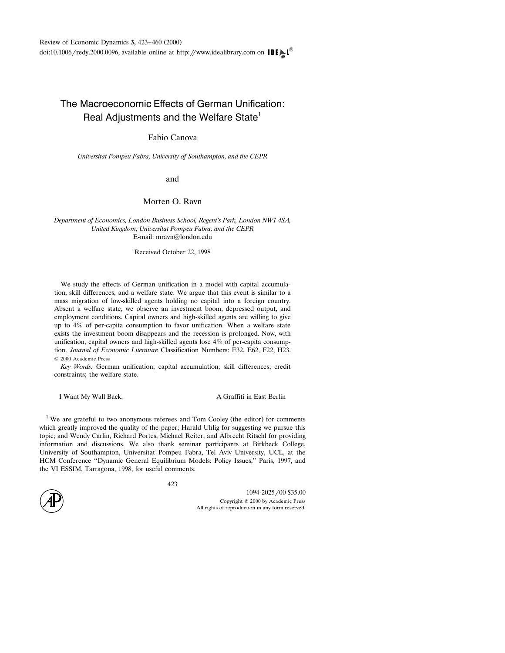# The Macroeconomic Effects of German Unification: Real Adjustments and the Welfare State<sup>1</sup>

Fabio Canova

*Uni*-*ersitat Pompeu Fabra, Uni*-*ersity of Southampton, and the CEPR*

and

#### Morten O. Ravn

#### *Department of Economics, London Business School, Regent's Park, London NW1 4SA, United Kingdom; Uni*-*ersitat Pompeu Fabra; and the CEPR* E-mail: mravn@london.edu

Received October 22, 1998

We study the effects of German unification in a model with capital accumulation, skill differences, and a welfare state. We argue that this event is similar to a mass migration of low-skilled agents holding no capital into a foreign country. Absent a welfare state, we observe an investment boom, depressed output, and employment conditions. Capital owners and high-skilled agents are willing to give up to 4% of per-capita consumption to favor unification. When a welfare state exists the investment boom disappears and the recession is prolonged. Now, with unification, capital owners and high-skilled agents lose 4% of per-capita consumption. *Journal of Economic Literature* Classification Numbers: E32, E62, F22, H23. 2000 Academic Press

*Key Words:* German unification; capital accumulation; skill differences; credit constraints; the welfare state.

I Want My Wall Back. A Graffiti in East Berlin

<sup>1</sup> We are grateful to two anonymous referees and Tom Cooley (the editor) for comments which greatly improved the quality of the paper; Harald Uhlig for suggesting we pursue this topic; and Wendy Carlin, Richard Portes, Michael Reiter, and Albrecht Ritschl for providing information and discussions. We also thank seminar participants at Birkbeck College, University of Southampton, Universitat Pompeu Fabra, Tel Aviv University, UCL, at the HCM Conference ''Dynamic General Equilibrium Models: Policy Issues,'' Paris, 1997, and the VI ESSIM, Tarragona, 1998, for useful comments.

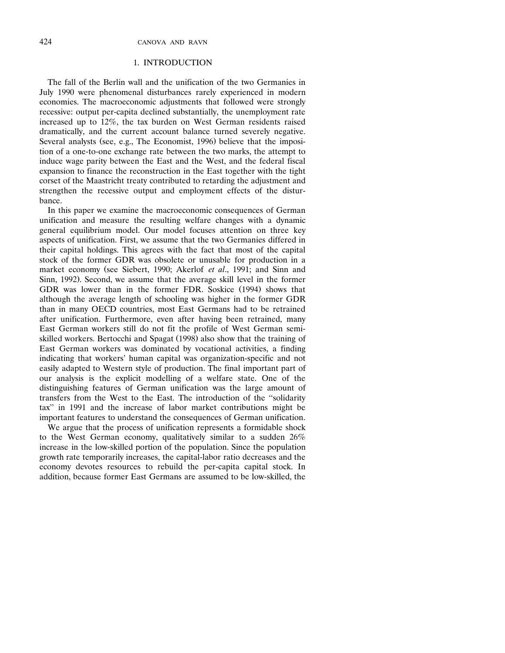## 1. INTRODUCTION

The fall of the Berlin wall and the unification of the two Germanies in July 1990 were phenomenal disturbances rarely experienced in modern economies. The macroeconomic adjustments that followed were strongly recessive: output per-capita declined substantially, the unemployment rate increased up to 12%, the tax burden on West German residents raised dramatically, and the current account balance turned severely negative. Several analysts (see, e.g., The Economist, 1996) believe that the imposition of a one-to-one exchange rate between the two marks, the attempt to induce wage parity between the East and the West, and the federal fiscal expansion to finance the reconstruction in the East together with the tight corset of the Maastricht treaty contributed to retarding the adjustment and strengthen the recessive output and employment effects of the disturbance.

In this paper we examine the macroeconomic consequences of German unification and measure the resulting welfare changes with a dynamic general equilibrium model. Our model focuses attention on three key aspects of unification. First, we assume that the two Germanies differed in their capital holdings. This agrees with the fact that most of the capital stock of the former GDR was obsolete or unusable for production in a market economy (see Siebert, 1990; Akerlof *et al.*, 1991; and Sinn and Sinn, 1992). Second, we assume that the average skill level in the former GDR was lower than in the former FDR. Soskice (1994) shows that although the average length of schooling was higher in the former GDR than in many OECD countries, most East Germans had to be retrained after unification. Furthermore, even after having been retrained, many East German workers still do not fit the profile of West German semiskilled workers. Bertocchi and Spagat  $(1998)$  also show that the training of East German workers was dominated by vocational activities, a finding indicating that workers' human capital was organization-specific and not easily adapted to Western style of production. The final important part of our analysis is the explicit modelling of a welfare state. One of the distinguishing features of German unification was the large amount of transfers from the West to the East. The introduction of the ''solidarity tax'' in 1991 and the increase of labor market contributions might be important features to understand the consequences of German unification.

We argue that the process of unification represents a formidable shock to the West German economy, qualitatively similar to a sudden 26% increase in the low-skilled portion of the population. Since the population growth rate temporarily increases, the capital-labor ratio decreases and the economy devotes resources to rebuild the per-capita capital stock. In addition, because former East Germans are assumed to be low-skilled, the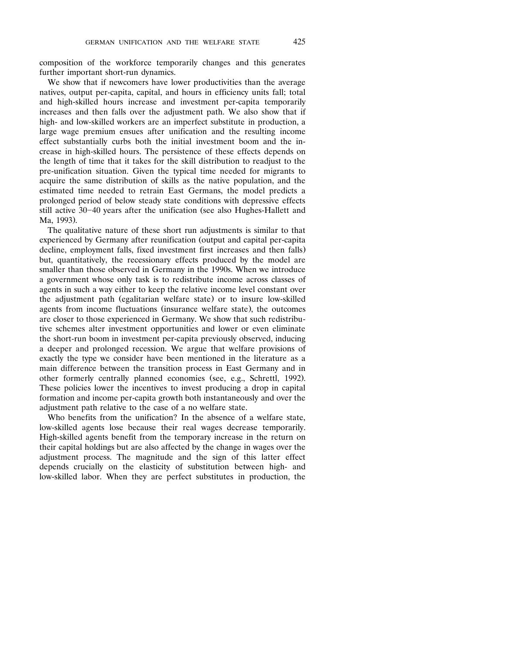composition of the workforce temporarily changes and this generates further important short-run dynamics.

We show that if newcomers have lower productivities than the average natives, output per-capita, capital, and hours in efficiency units fall; total and high-skilled hours increase and investment per-capita temporarily increases and then falls over the adjustment path. We also show that if high- and low-skilled workers are an imperfect substitute in production, a large wage premium ensues after unification and the resulting income effect substantially curbs both the initial investment boom and the increase in high-skilled hours. The persistence of these effects depends on the length of time that it takes for the skill distribution to readjust to the pre-unification situation. Given the typical time needed for migrants to acquire the same distribution of skills as the native population, and the estimated time needed to retrain East Germans, the model predicts a prolonged period of below steady state conditions with depressive effects still active  $30-40$  years after the unification (see also Hughes-Hallett and Ma, 1993).

The qualitative nature of these short run adjustments is similar to that experienced by Germany after reunification (output and capital per-capita decline, employment falls, fixed investment first increases and then falls) but, quantitatively, the recessionary effects produced by the model are smaller than those observed in Germany in the 1990s. When we introduce a government whose only task is to redistribute income across classes of agents in such a way either to keep the relative income level constant over the adjustment path (egalitarian welfare state) or to insure low-skilled agents from income fluctuations (insurance welfare state), the outcomes are closer to those experienced in Germany. We show that such redistributive schemes alter investment opportunities and lower or even eliminate the short-run boom in investment per-capita previously observed, inducing a deeper and prolonged recession. We argue that welfare provisions of exactly the type we consider have been mentioned in the literature as a main difference between the transition process in East Germany and in other formerly centrally planned economies (see, e.g., Schrettl, 1992). These policies lower the incentives to invest producing a drop in capital formation and income per-capita growth both instantaneously and over the adjustment path relative to the case of a no welfare state.

Who benefits from the unification? In the absence of a welfare state, low-skilled agents lose because their real wages decrease temporarily. High-skilled agents benefit from the temporary increase in the return on their capital holdings but are also affected by the change in wages over the adjustment process. The magnitude and the sign of this latter effect depends crucially on the elasticity of substitution between high- and low-skilled labor. When they are perfect substitutes in production, the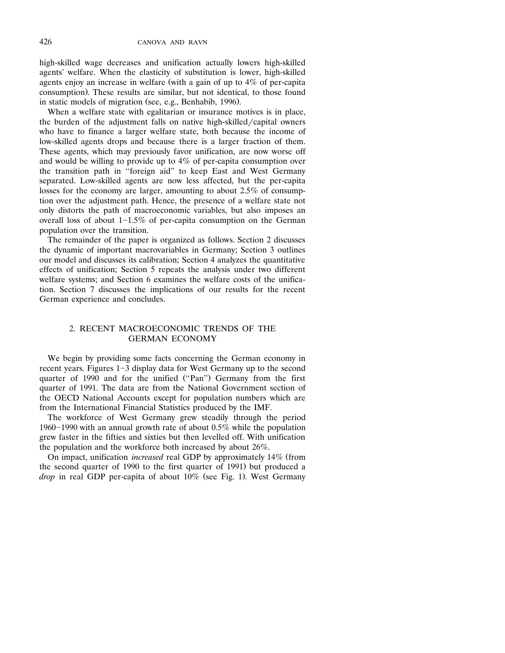high-skilled wage decreases and unification actually lowers high-skilled agents' welfare. When the elasticity of substitution is lower, high-skilled agents enjoy an increase in welfare (with a gain of up to  $4\%$  of per-capita consumption). These results are similar, but not identical, to those found in static models of migration (see, e.g., Benhabib, 1996).

When a welfare state with egalitarian or insurance motives is in place, the burden of the adjustment falls on native high-skilled/capital owners who have to finance a larger welfare state, both because the income of low-skilled agents drops and because there is a larger fraction of them. These agents, which may previously favor unification, are now worse off and would be willing to provide up to 4% of per-capita consumption over the transition path in ''foreign aid'' to keep East and West Germany separated. Low-skilled agents are now less affected, but the per-capita losses for the economy are larger, amounting to about 2.5% of consumption over the adjustment path. Hence, the presence of a welfare state not only distorts the path of macroeconomic variables, but also imposes an overall loss of about  $1-1.5\%$  of per-capita consumption on the German population over the transition.

The remainder of the paper is organized as follows. Section 2 discusses the dynamic of important macrovariables in Germany; Section 3 outlines our model and discusses its calibration; Section 4 analyzes the quantitative effects of unification; Section 5 repeats the analysis under two different welfare systems; and Section 6 examines the welfare costs of the unification. Section 7 discusses the implications of our results for the recent German experience and concludes.

## 2. RECENT MACROECONOMIC TRENDS OF THE GERMAN ECONOMY

We begin by providing some facts concerning the German economy in recent years. Figures 1-3 display data for West Germany up to the second quarter of 1990 and for the unified ("Pan") Germany from the first quarter of 1991. The data are from the National Government section of the OECD National Accounts except for population numbers which are from the International Financial Statistics produced by the IMF.

The workforce of West Germany grew steadily through the period 1960-1990 with an annual growth rate of about  $0.5\%$  while the population grew faster in the fifties and sixties but then levelled off. With unification the population and the workforce both increased by about 26%.

On impact, unification *increased* real GDP by approximately 14% (from the second quarter of 1990 to the first quarter of 1991) but produced a *drop* in real GDP per-capita of about  $10\%$  (see Fig. 1). West Germany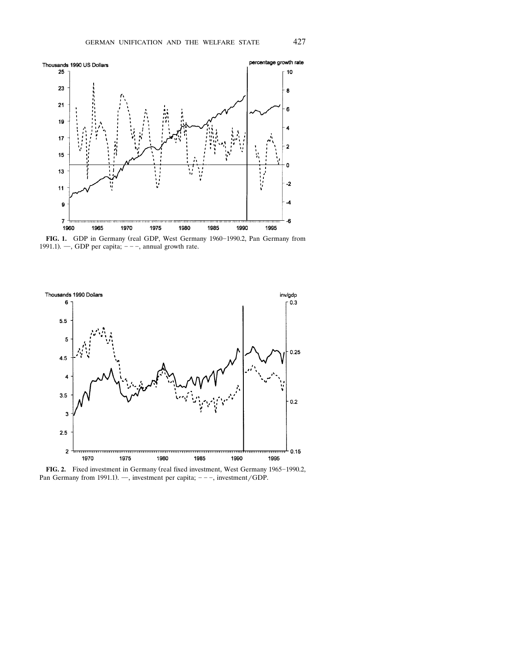

FIG. 1. GDP in Germany (real GDP, West Germany 1960-1990.2, Pan Germany from 1991.1).  $\rightarrow$ , GDP per capita;  $\sim$  -  $\rightarrow$ , annual growth rate.



FIG. 2. Fixed investment in Germany (real fixed investment, West Germany 1965-1990.2, Pan Germany from 1991.1).  $-$ , investment per capita;  $-$  -, investment/GDP.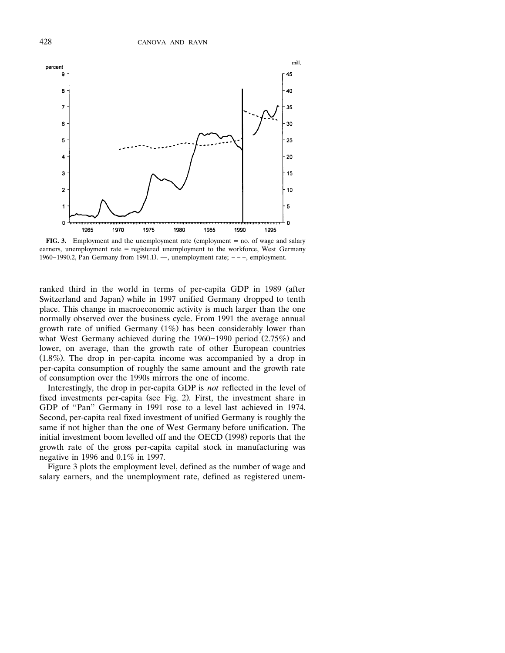

**FIG. 3.** Employment and the unemployment rate (employment  $=$  no. of wage and salary earners, unemployment rate  $=$  registered unemployment to the workforce. West Germany 1960–1990.2, Pan Germany from 1991.1). —, unemployment rate;  $-$  -, employment.

ranked third in the world in terms of per-capita GDP in 1989 (after Switzerland and Japan) while in 1997 unified Germany dropped to tenth place. This change in macroeconomic activity is much larger than the one normally observed over the business cycle. From 1991 the average annual growth rate of unified Germany  $(1\%)$  has been considerably lower than what West Germany achieved during the  $1960-1990$  period  $(2.75%)$  and lower, on average, than the growth rate of other European countries  $(1.8\%)$ . The drop in per-capita income was accompanied by a drop in per-capita consumption of roughly the same amount and the growth rate of consumption over the 1990s mirrors the one of income.

Interestingly, the drop in per-capita GDP is *not* reflected in the level of fixed investments per-capita (see Fig. 2). First, the investment share in GDP of ''Pan'' Germany in 1991 rose to a level last achieved in 1974. Second, per-capita real fixed investment of unified Germany is roughly the same if not higher than the one of West Germany before unification. The initial investment boom levelled off and the OECD (1998) reports that the growth rate of the gross per-capita capital stock in manufacturing was negative in 1996 and 0.1% in 1997.

Figure 3 plots the employment level, defined as the number of wage and salary earners, and the unemployment rate, defined as registered unem-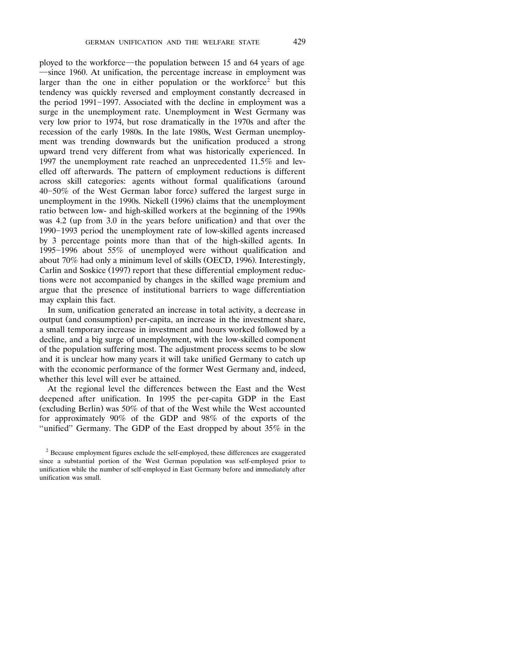ployed to the workforce—the population between 15 and 64 years of age -since 1960. At unification, the percentage increase in employment was larger than the one in either population or the workforce<sup>2</sup> but this tendency was quickly reversed and employment constantly decreased in the period  $1991-1997$ . Associated with the decline in employment was a surge in the unemployment rate. Unemployment in West Germany was very low prior to 1974, but rose dramatically in the 1970s and after the recession of the early 1980s. In the late 1980s, West German unemployment was trending downwards but the unification produced a strong upward trend very different from what was historically experienced. In 1997 the unemployment rate reached an unprecedented 11.5% and levelled off afterwards. The pattern of employment reductions is different across skill categories: agents without formal qualifications (around  $40-50\%$  of the West German labor force) suffered the largest surge in unemployment in the 1990s. Nickell (1996) claims that the unemployment ratio between low- and high-skilled workers at the beginning of the 1990s was 4.2 (up from 3.0 in the years before unification) and that over the  $1990-1993$  period the unemployment rate of low-skilled agents increased by 3 percentage points more than that of the high-skilled agents. In  $1995-1996$  about  $55\%$  of unemployed were without qualification and about 70% had only a minimum level of skills (OECD, 1996). Interestingly, Carlin and Soskice  $(1997)$  report that these differential employment reductions were not accompanied by changes in the skilled wage premium and argue that the presence of institutional barriers to wage differentiation may explain this fact.

In sum, unification generated an increase in total activity, a decrease in output (and consumption) per-capita, an increase in the investment share, a small temporary increase in investment and hours worked followed by a decline, and a big surge of unemployment, with the low-skilled component of the population suffering most. The adjustment process seems to be slow and it is unclear how many years it will take unified Germany to catch up with the economic performance of the former West Germany and, indeed, whether this level will ever be attained.

At the regional level the differences between the East and the West deepened after unification. In 1995 the per-capita GDP in the East (excluding Berlin) was 50% of that of the West while the West accounted for approximately 90% of the GDP and 98% of the exports of the ''unified'' Germany. The GDP of the East dropped by about 35% in the

 $2$  Because employment figures exclude the self-employed, these differences are exaggerated since a substantial portion of the West German population was self-employed prior to unification while the number of self-employed in East Germany before and immediately after unification was small.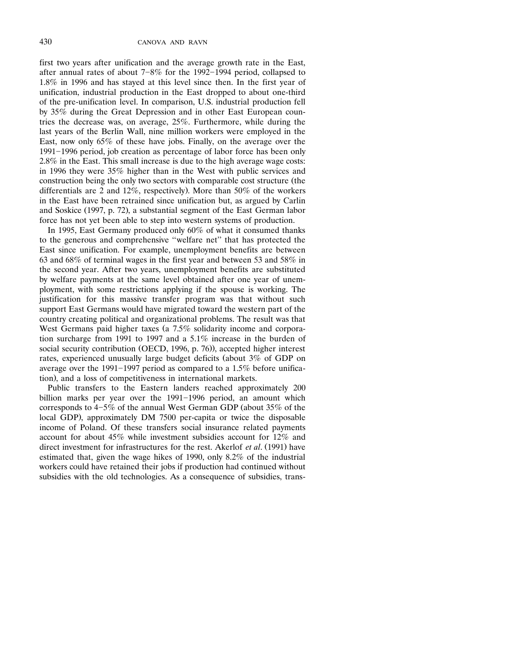first two years after unification and the average growth rate in the East, after annual rates of about  $7-8\%$  for the 1992-1994 period, collapsed to 1.8% in 1996 and has stayed at this level since then. In the first year of unification, industrial production in the East dropped to about one-third of the pre-unification level. In comparison, U.S. industrial production fell by 35% during the Great Depression and in other East European countries the decrease was, on average, 25%. Furthermore, while during the last years of the Berlin Wall, nine million workers were employed in the East, now only 65% of these have jobs. Finally, on the average over the  $1991-1996$  period, job creation as percentage of labor force has been only 2.8% in the East. This small increase is due to the high average wage costs: in 1996 they were 35% higher than in the West with public services and construction being the only two sectors with comparable cost structure (the differentials are  $\overline{2}$  and  $12\%$ , respectively). More than 50% of the workers in the East have been retrained since unification but, as argued by Carlin and Soskice (1997, p. 72), a substantial segment of the East German labor force has not yet been able to step into western systems of production.

In 1995, East Germany produced only 60% of what it consumed thanks to the generous and comprehensive ''welfare net'' that has protected the East since unification. For example, unemployment benefits are between 63 and 68% of terminal wages in the first year and between 53 and 58% in the second year. After two years, unemployment benefits are substituted by welfare payments at the same level obtained after one year of unemployment, with some restrictions applying if the spouse is working. The justification for this massive transfer program was that without such support East Germans would have migrated toward the western part of the country creating political and organizational problems. The result was that West Germans paid higher taxes (a 7.5% solidarity income and corporation surcharge from 1991 to 1997 and a 5.1% increase in the burden of social security contribution (OECD, 1996, p. 76)), accepted higher interest rates, experienced unusually large budget deficits (about 3% of GDP on average over the 1991–1997 period as compared to a 1.5% before unification), and a loss of competitiveness in international markets.

Public transfers to the Eastern landers reached approximately 200 billion marks per year over the  $1991-1996$  period, an amount which corresponds to  $4-5\%$  of the annual West German GDP (about 35% of the local GDP), approximately DM 7500 per-capita or twice the disposable income of Poland. Of these transfers social insurance related payments account for about 45% while investment subsidies account for 12% and direct investment for infrastructures for the rest. Akerlof *et al.* (1991) have estimated that, given the wage hikes of 1990, only 8.2% of the industrial workers could have retained their jobs if production had continued without subsidies with the old technologies. As a consequence of subsidies, trans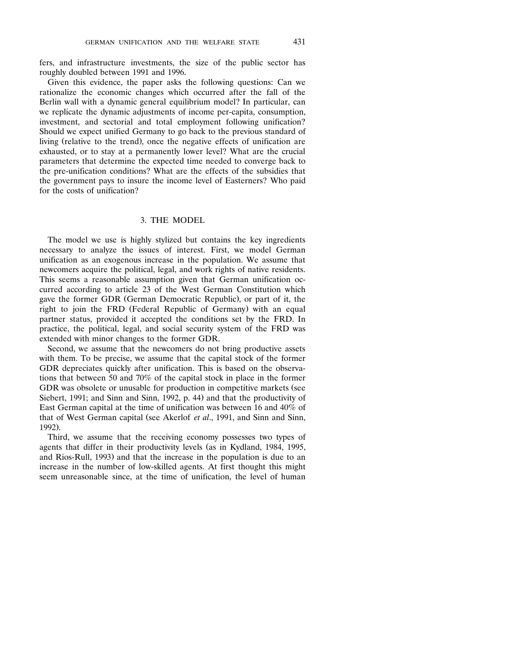fers, and infrastructure investments, the size of the public sector has roughly doubled between 1991 and 1996.

Given this evidence, the paper asks the following questions: Can we rationalize the economic changes which occurred after the fall of the Berlin wall with a dynamic general equilibrium model? In particular, can we replicate the dynamic adjustments of income per-capita, consumption, investment, and sectorial and total employment following unification? Should we expect unified Germany to go back to the previous standard of living (relative to the trend), once the negative effects of unification are exhausted, or to stay at a permanently lower level? What are the crucial parameters that determine the expected time needed to converge back to the pre-unification conditions? What are the effects of the subsidies that the government pays to insure the income level of Easterners? Who paid for the costs of unification?

## 3. THE MODEL

The model we use is highly stylized but contains the key ingredients necessary to analyze the issues of interest. First, we model German unification as an exogenous increase in the population. We assume that newcomers acquire the political, legal, and work rights of native residents. This seems a reasonable assumption given that German unification occurred according to article 23 of the West German Constitution which gave the former GDR (German Democratic Republic), or part of it, the right to join the FRD (Federal Republic of  $\overline{G}$  Germany) with an equal partner status, provided it accepted the conditions set by the FRD. In practice, the political, legal, and social security system of the FRD was extended with minor changes to the former GDR.

Second, we assume that the newcomers do not bring productive assets with them. To be precise, we assume that the capital stock of the former GDR depreciates quickly after unification. This is based on the observations that between 50 and 70% of the capital stock in place in the former GDR was obsolete or unusable for production in competitive markets (see Siebert, 1991; and Sinn and Sinn, 1992, p. 44) and that the productivity of East German capital at the time of unification was between 16 and 40% of that of West German capital (see Akerlof *et al.*, 1991, and Sinn and Sinn, 1992).

Third, we assume that the receiving economy possesses two types of agents that differ in their productivity levels (as in Kydland, 1984, 1995, and Rios-Rull, 1993) and that the increase in the population is due to an increase in the number of low-skilled agents. At first thought this might seem unreasonable since, at the time of unification, the level of human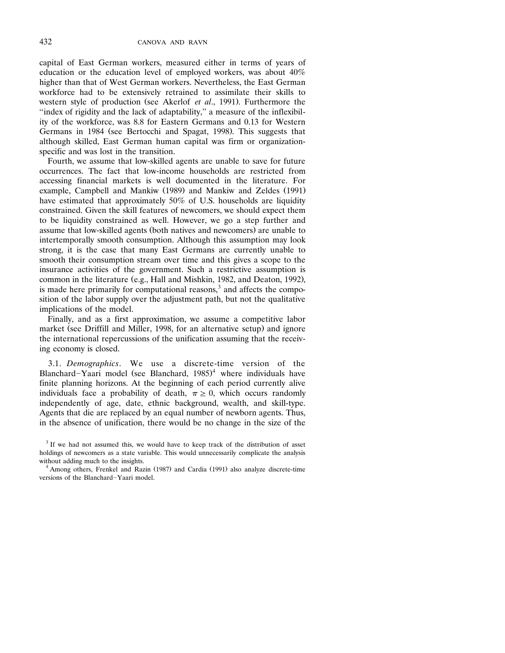capital of East German workers, measured either in terms of years of education or the education level of employed workers, was about 40% higher than that of West German workers. Nevertheless, the East German workforce had to be extensively retrained to assimilate their skills to western style of production (see Akerlof *et al.*, 1991). Furthermore the ''index of rigidity and the lack of adaptability,'' a measure of the inflexibility of the workforce, was 8.8 for Eastern Germans and 0.13 for Western Germans in 1984 (see Bertocchi and Spagat, 1998). This suggests that although skilled, East German human capital was firm or organizationspecific and was lost in the transition.

Fourth, we assume that low-skilled agents are unable to save for future occurrences. The fact that low-income households are restricted from accessing financial markets is well documented in the literature. For example, Campbell and Mankiw (1989) and Mankiw and Zeldes (1991) have estimated that approximately 50% of U.S. households are liquidity constrained. Given the skill features of newcomers, we should expect them to be liquidity constrained as well. However, we go a step further and assume that low-skilled agents (both natives and newcomers) are unable to intertemporally smooth consumption. Although this assumption may look strong, it is the case that many East Germans are currently unable to smooth their consumption stream over time and this gives a scope to the insurance activities of the government. Such a restrictive assumption is common in the literature (e.g., Hall and Mishkin, 1982, and Deaton, 1992), is made here primarily for computational reasons, $3$  and affects the composition of the labor supply over the adjustment path, but not the qualitative implications of the model.

Finally, and as a first approximation, we assume a competitive labor market (see Driffill and Miller, 1998, for an alternative setup) and ignore the international repercussions of the unification assuming that the receiving economy is closed.

3.1. *Demographics*. We use a discrete-time version of the Blanchard-Yaari model (see Blanchard,  $1985$ )<sup>4</sup> where individuals have finite planning horizons. At the beginning of each period currently alive individuals face a probability of death,  $\pi \geq 0$ , which occurs randomly independently of age, date, ethnic background, wealth, and skill-type. Agents that die are replaced by an equal number of newborn agents. Thus, in the absence of unification, there would be no change in the size of the

<sup>&</sup>lt;sup>3</sup> If we had not assumed this, we would have to keep track of the distribution of asset holdings of newcomers as a state variable. This would unnecessarily complicate the analysis without adding much to the insights.<br><sup>4</sup> Among others, Frenkel and Razin (1987) and Cardia (1991) also analyze discrete-time

versions of the Blanchard-Yaari model.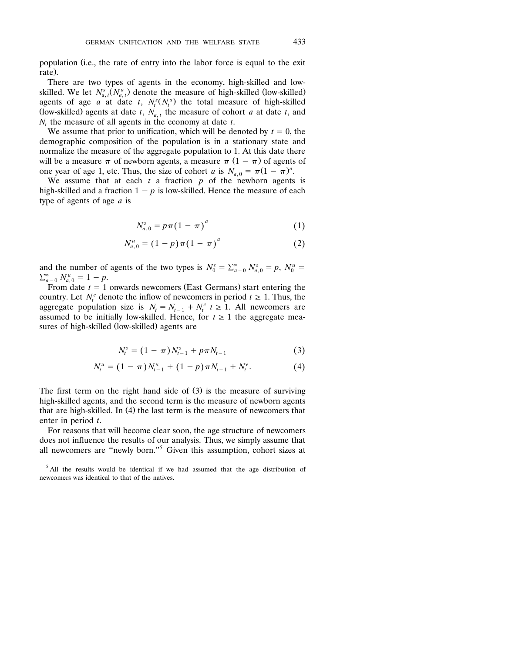population (i.e., the rate of entry into the labor force is equal to the exit rate).

There are two types of agents in the economy, high-skilled and low skilled. We let  $N_{a,t}^s(N_{a,t}^u)$  denote the measure of high-skilled (low-skilled) agents of age *a* at date *t*,  $N_t^s(N_t^u)$  the total measure of high-skilled (low-skilled) agents at date *t*,  $N_{a,t}$  the measure of cohort *a* at date *t*, and  $N_t$ , the measure of all agents in the economy at date  $t$ .

We assume that prior to unification, which will be denoted by  $t = 0$ , the demographic composition of the population is in a stationary state and normalize the measure of the aggregate population to 1. At this date there will be a measure  $\pi$  of newborn agents, a measure  $\pi$   $(1 - \pi)$  of agents of one year of age 1, etc. Thus, the size of cohort *a* is  $N_{a,0} = \pi (1 - \pi)^a$ .

We assume that at each  $t$  a fraction  $p$  of the newborn agents is high-skilled and a fraction  $1 - p$  is low-skilled. Hence the measure of each type of agents of age *a* is

$$
N_{a,0}^s = p\pi \left(1 - \pi\right)^a \tag{1}
$$

$$
N_{a,0}^{u} = (1-p)\pi(1-\pi)^{a}
$$
 (2)

and the number of agents of the two types is  $N_0^s = \sum_{\alpha=0}^{\infty} N_{\alpha,0}^s = p$ ,  $N_0^u =$  $\sum_{a=0}^{\infty} N_{a,0}^{u} = 1 - p.$ 

From date  $t = 1$  onwards newcomers (East Germans) start entering the country. Let  $N_t^e$  denote the inflow of newcomers in period  $t \ge 1$ . Thus, the aggregate population size is  $N_t = N_{t-1} + N_t^e$   $t \geq 1$ . All newcomers are assumed to be initially low-skilled. Hence, for  $t \geq 1$  the aggregate measures of high-skilled (low-skilled) agents are

$$
N_t^s = (1 - \pi)N_{t-1}^s + p\pi N_{t-1}
$$
\n(3)

$$
N_t^u = (1 - \pi)N_{t-1}^u + (1 - p)\pi N_{t-1} + N_t^e. \tag{4}
$$

The first term on the right hand side of  $(3)$  is the measure of surviving high-skilled agents, and the second term is the measure of newborn agents that are high-skilled. In  $(4)$  the last term is the measure of newcomers that enter in period *t*.

For reasons that will become clear soon, the age structure of newcomers does not influence the results of our analysis. Thus, we simply assume that all newcomers are ''newly born.''<sup>5</sup> Given this assumption, cohort sizes at

<sup>&</sup>lt;sup>5</sup> All the results would be identical if we had assumed that the age distribution of newcomers was identical to that of the natives.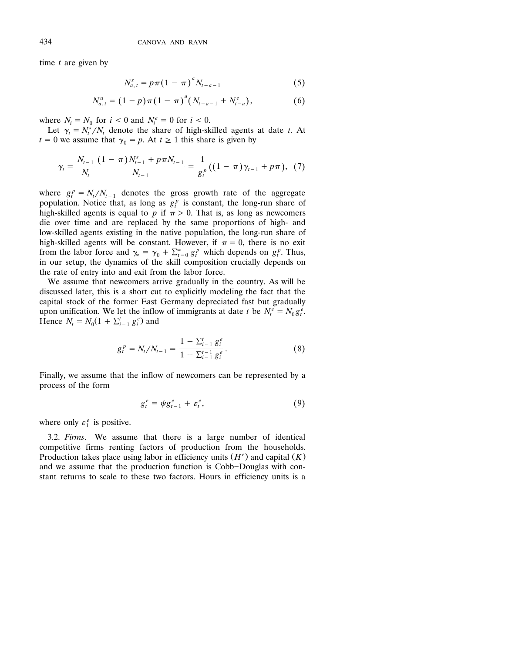time *t* are given by

$$
N_{a,t}^{s} = p\pi (1 - \pi)^{a} N_{t-a-1}
$$
 (5)

$$
N_{a,t}^{u} = (1-p)\pi(1-\pi)^{a}(N_{t-a-1}+N_{t-a}^{e}), \qquad (6)
$$

where  $N_i = N_0$  for  $i \le 0$  and  $N_i^e = 0$  for  $i \le 0$ .

Let  $\gamma_t = N_t^s / N_t$  denote the share of high-skilled agents at date *t*. At  $t = 0$  we assume that  $\gamma_0 = p$ . At  $t \ge 1$  this share is given by

$$
\gamma_t = \frac{N_{t-1}}{N_t} \frac{(1-\pi)N_{t-1}^s + p\pi N_{t-1}}{N_{t-1}} = \frac{1}{g_t^p} \big( (1-\pi) \gamma_{t-1} + p\pi \big), \tag{7}
$$

where  $g_t^p = N_t/N_{t-1}$  denotes the gross growth rate of the aggregate population. Notice that, as long as  $g_t^p$  is constant, the long-run share of high-skilled agents is equal to *p* if  $\pi > 0$ . That is, as long as newcomers die over time and are replaced by the same proportions of high- and low-skilled agents existing in the native population, the long-run share of high-skilled agents will be constant. However, if  $\pi = 0$ , there is no exit from the labor force and  $\gamma_{\infty} = \gamma_0 + \sum_{t=0}^{\infty} g_t^p$  which depends on  $g_t^p$ . Thus, in our setup, the dynamics of the skill composition crucially depends on the rate of entry into and exit from the labor force.

We assume that newcomers arrive gradually in the country. As will be discussed later, this is a short cut to explicitly modeling the fact that the capital stock of the former East Germany depreciated fast but gradually upon unification. We let the inflow of immigrants at date *t* be  $N_t^e = N_0 g_t^e$ . Hence  $N_t = N_0 (1 + \sum_{i=1}^t g_i^e)$  and

$$
g_i^p = N_t / N_{t-1} = \frac{1 + \sum_{i=1}^t g_i^e}{1 + \sum_{i=1}^{t-1} g_i^e}.
$$
 (8)

Finally, we assume that the inflow of newcomers can be represented by a process of the form

$$
g_t^e = \psi g_{t-1}^e + \varepsilon_t^e, \tag{9}
$$

where only  $\varepsilon_1^e$  is positive.

3.2. *Firms*. We assume that there is a large number of identical competitive firms renting factors of production from the households. Production takes place using labor in efficiency units  $(H<sup>e</sup>)$  and capital  $(K)$ and we assume that the production function is Cobb-Douglas with constant returns to scale to these two factors. Hours in efficiency units is a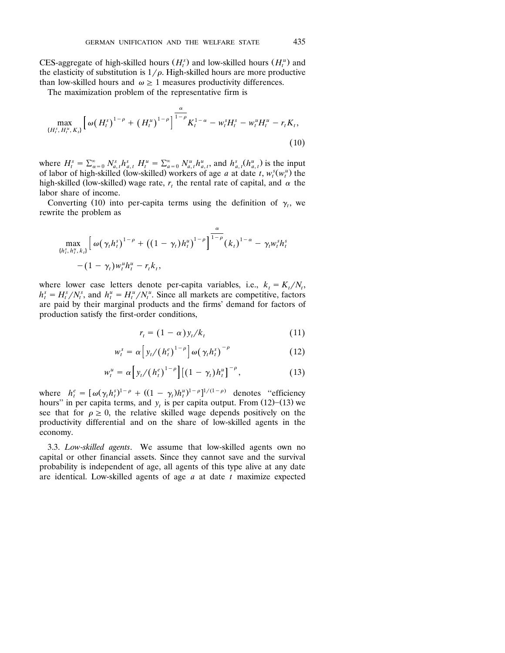CES-aggregate of high-skilled hours  $(H_t^s)$  and low-skilled hours  $(H_t^u)$  and the elasticity of substitution is  $1/\rho$ . High-skilled hours are more productive than low-skilled hours and  $\omega \geq 1$  measures productivity differences.

The maximization problem of the representative firm is

$$
\max_{\{H_t^s, H_t^u, K_t\}} \left[ \omega(H_t^s)^{1-\rho} + (H_t^u)^{1-\rho} \right]^{\frac{\alpha}{1-\rho}} K_t^{1-\alpha} - w_t^s H_t^s - w_t^u H_t^u - r_t K_t,
$$
\n(10)

where  $H_t^s = \sum_{\alpha=0}^{\infty} N_{a,t}^s h_{a,t}^s H_t^u = \sum_{a=0}^{\infty} N_{a,t}^u h_{a,t}^u$ , and  $h_{a,t}^s(h_{a,t}^u)$  is the input of labor of high-skilled (low-skilled) workers of age *a* at date *t*,  $w_t^s(w_t^u)$  the high-skilled (low-skilled) wage rate,  $r_t$  the rental rate of capital, and  $\alpha$  the labor share of income.

Converting (10) into per-capita terms using the definition of  $\gamma_t$ , we rewrite the problem as

$$
\max_{\{h_t^s, h_t^u, k_t\}} \left[ \omega(\gamma_t h_t^s)^{1-\rho} + ((1-\gamma_t)h_t^u)^{1-\rho} \right]^{\frac{\alpha}{1-\rho}} (k_t)^{1-\alpha} - \gamma_t w_t^s h_t^s
$$
  
-(1-\gamma\_t) w\_t^u h\_t^u - r\_t k\_t,

where lower case letters denote per-capita variables, i.e.,  $k_t = K_t/N_t$ ,  $h_t^s = H_t^s/N_t^s$ , and  $h_t^u = H_t^u/N_t^u$ . Since all markets are competitive, factors are paid by their marginal products and the firms' demand for factors of production satisfy the first-order conditions,

$$
r_t = (1 - \alpha) y_t / k_t \tag{11}
$$

$$
w_t^s = \alpha \left[ y_t / \left( h_t^e \right)^{1-\rho} \right] \omega \left( \gamma_t h_t^s \right)^{-\rho} \tag{12}
$$

$$
w_t^u = \alpha \Big[ y_t / \big(h_t^e\big)^{1-\rho} \Big] \big[ \big(1-\gamma_t\big) h_t^u \big]^{-\rho} \,, \tag{13}
$$

where  $h_t^e = \left[ \omega(\gamma_t h_t^s)^{1-\rho} + ((1-\gamma_t)h_t^u)^{1-\rho} \right]^{1/(1-\rho)}$  denotes "efficiency hours" in per capita terms, and  $y_t$  is per capita output. From  $(12)$ – $(13)$  we see that for  $\rho \geq 0$ , the relative skilled wage depends positively on the productivity differential and on the share of low-skilled agents in the economy.

3.3. *Low*-*skilled agents*. We assume that low-skilled agents own no capital or other financial assets. Since they cannot save and the survival probability is independent of age, all agents of this type alive at any date are identical. Low-skilled agents of age *a* at date *t* maximize expected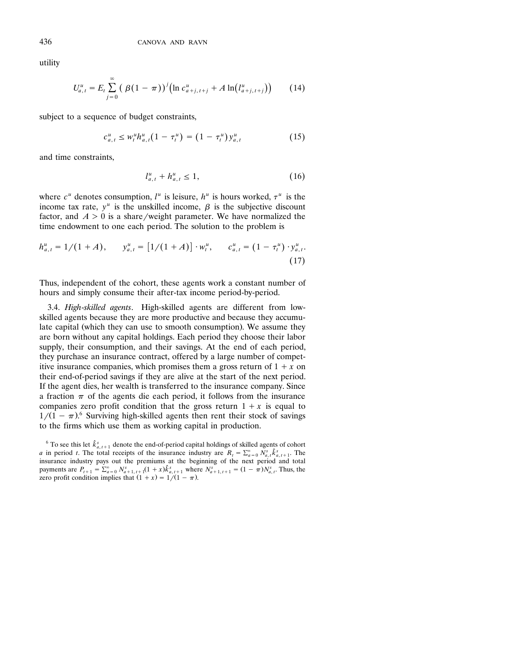utility

$$
U_{a,t}^{u} = E_{t} \sum_{j=0}^{\infty} (\beta (1 - \pi))^{j} (\ln c_{a+j,t+j}^{u} + A \ln(l_{a+j,t+j}^{u})) \qquad (14)
$$

subject to a sequence of budget constraints,

$$
c_{a,t}^u \leq w_t^u h_{a,t}^u (1 - \tau_t^u) = (1 - \tau_t^u) y_{a,t}^u
$$
 (15)

and time constraints,

$$
l_{a,t}^u + h_{a,t}^u \le 1,\t\t(16)
$$

where  $c^u$  denotes consumption,  $l^u$  is leisure,  $h^u$  is hours worked,  $\tau^u$  is the income tax rate,  $y^u$  is the unskilled income,  $\beta$  is the subjective discount factor, and  $A > 0$  is a share/weight parameter. We have normalized the time endowment to one each period. The solution to the problem is

$$
h_{a,t}^{u} = 1/(1+A), \qquad y_{a,t}^{u} = [1/(1+A)] \cdot w_{t}^{u}, \qquad c_{a,t}^{u} = (1-\tau_{t}^{u}) \cdot y_{a,t}^{u}.
$$
\n
$$
(17)
$$

Thus, independent of the cohort, these agents work a constant number of hours and simply consume their after-tax income period-by-period.

3.4. *High*-*skilled agents*. High-skilled agents are different from lowskilled agents because they are more productive and because they accumulate capital (which they can use to smooth consumption). We assume they are born without any capital holdings. Each period they choose their labor supply, their consumption, and their savings. At the end of each period, they purchase an insurance contract, offered by a large number of competitive insurance companies, which promises them a gross return of  $1 + x$  on their end-of-period savings if they are alive at the start of the next period. If the agent dies, her wealth is transferred to the insurance company. Since a fraction  $\pi$  of the agents die each period, it follows from the insurance companies zero profit condition that the gross return  $1 + x$  is equal to  $1/(1 - \pi)$ <sup>6</sup> Surviving high-skilled agents then rent their stock of savings to the firms which use them as working capital in production.

<sup>&</sup>lt;sup>6</sup> To see this let  $\hat{k}_{a,t+1}^s$  denote the end-of-period capital holdings of skilled agents of cohort *a* in period *t*. The total receipts of the insurance industry are  $R_t = \sum_{a=0}^{\infty} N_{a,t}^s \hat{k}_{a,t+1}^s$ . The insurance industry pays out the premiums at the beginning of the next period and total payments are  $P_{t+1} = \sum_{a=0}^{\infty} N_{a+1,t+1}^{s}(1+x)\hat{k}_{a,t+1}^{s}$  where  $N_{a+1,t+1}^{s} = (1-\pi)N_{a,t}^{s}$ . Thus, the zero profit condition implies that  $(1 + x) = 1/(1 - \pi)$ .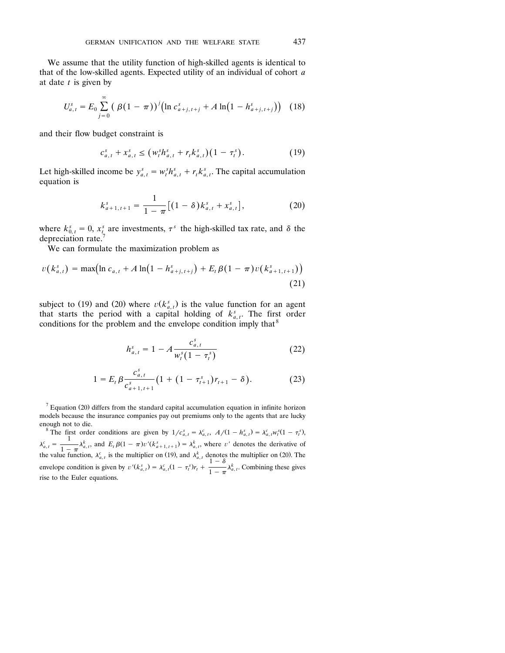We assume that the utility function of high-skilled agents is identical to that of the low-skilled agents. Expected utility of an individual of cohort *a* at date *t* is given by

$$
U_{a,t}^s = E_0 \sum_{j=0}^{\infty} (\beta (1 - \pi))^j (\ln c_{a+j,t+j}^s + A \ln (1 - h_{a+j,t+j}^s))
$$
 (18)

and their flow budget constraint is

$$
c_{a,t}^s + x_{a,t}^s \le (w_t^s h_{a,t}^s + r_t k_{a,t}^s)(1 - \tau_t^s). \tag{19}
$$

Let high-skilled income be  $y_{a,t}^s = w_t^s h_{a,t}^s + r_t k_{a,t}^s$ . The capital accumulation equation is

$$
k_{a+1,t+1}^s = \frac{1}{1-\pi} \left[ (1-\delta) k_{a,t}^s + x_{a,t}^s \right],
$$
 (20)

where  $k_{0,t}^s = 0$ ,  $x_t^s$  are investments,  $\tau^s$  the high-skilled tax rate, and  $\delta$  the depreciation rate.<sup>7</sup>

We can formulate the maximization problem as

$$
v(k_{a,t}^s) = \max(\ln c_{a,t} + A \ln(1 - h_{a+j,t+j}^s) + E_t \beta (1 - \pi) v(k_{a+1,t+1}^s))
$$
\n(21)

subject to (19) and (20) where  $v(k_{a,t}^s)$  is the value function for an agent that starts the period with a capital holding of  $k_{a,t}^s$ . The first order conditions for the problem and the envelope condition imply that  $8$ 

$$
h_{a,t}^s = 1 - A \frac{c_{a,t}^s}{w_t^s (1 - \tau_t^s)}
$$
 (22)

$$
1 = E_t \beta \frac{c_{a,t}^s}{c_{a+1,t+1}^s} \big(1 + (1 - \tau_{t+1}^s) r_{t+1} - \delta \big).
$$
 (23)

 $\frac{7}{2}$  Equation (20) differs from the standard capital accumulation equation in infinite horizon models because the insurance companies pay out premiums only to the agents that are lucky

enough not to die.<br><sup>8</sup> The first order conditions are given by  $1/c_{a,t}^s = \lambda_{a,t}^c$ ,  $A/(1 - h_{a,t}^s) = \lambda_{a,t}^c w_t^s (1 - \tau_t^s)$ ,<br> $\lambda_{a,t}^c = \frac{1}{1 - \pi} \lambda_{a,t}^k$ , and  $E_t \beta (1 - \pi) v'(k_{a+1,t+1}^s) = \lambda_{a,t}^k$ , where v' denotes the deriva envelope condition is given by  $v'(k_{a,t}^s) = \lambda_{a,t}^c (1 - \tau_t^s) r_t + \frac{1 - \delta}{1 - \pi} \lambda_{a,t}^k$ . Combining these gives rise to the Euler equations.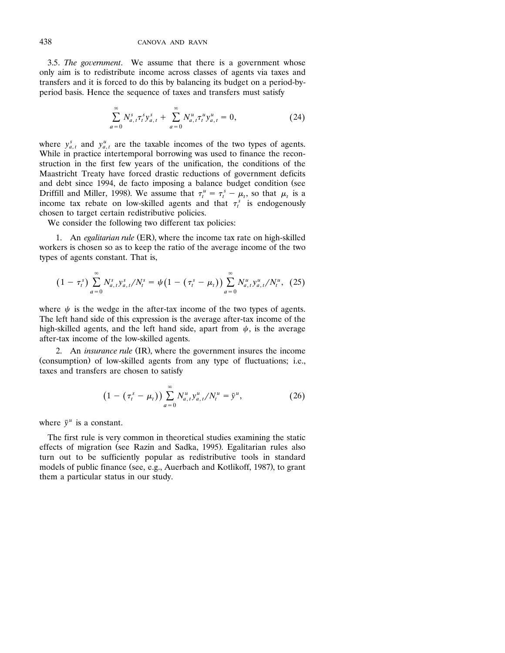3.5. *The government*. We assume that there is a government whose only aim is to redistribute income across classes of agents via taxes and transfers and it is forced to do this by balancing its budget on a period-byperiod basis. Hence the sequence of taxes and transfers must satisfy

$$
\sum_{a=0}^{\infty} N_{a,t}^{s} \tau_{t}^{s} y_{a,t}^{s} + \sum_{a=0}^{\infty} N_{a,t}^{u} \tau_{t}^{u} y_{a,t}^{u} = 0, \qquad (24)
$$

where  $y_{a,t}^s$  and  $y_{a,t}^u$  are the taxable incomes of the two types of agents. While in practice intertemporal borrowing was used to finance the reconstruction in the first few years of the unification, the conditions of the Maastricht Treaty have forced drastic reductions of government deficits and debt since 1994, de facto imposing a balance budget condition (see Driffill and Miller, 1998). We assume that  $\tau_t^u = \tau_t^s - \mu_t$ , so that  $\mu_t$  is a income tax rebate on low-skilled agents and that  $\tau_i^s$  is endogenously chosen to target certain redistributive policies.

We consider the following two different tax policies:

1. An *egalitarian rule* (ER), where the income tax rate on high-skilled workers is chosen so as to keep the ratio of the average income of the two types of agents constant. That is,

$$
(1-\tau_t^s)\sum_{a=0}^{\infty} N_{a,t}^s y_{a,t}^s/N_t^s = \psi(1-(\tau_t^s-\mu_t))\sum_{a=0}^{\infty} N_{a,t}^u y_{a,t}^u/N_t^u, (25)
$$

where  $\psi$  is the wedge in the after-tax income of the two types of agents. The left hand side of this expression is the average after-tax income of the high-skilled agents, and the left hand side, apart from  $\psi$ , is the average after-tax income of the low-skilled agents.

2. An *insurance rule* (IR), where the government insures the income (consumption) of low-skilled agents from any type of fluctuations; i.e., taxes and transfers are chosen to satisfy

$$
\left(1 - \left(\tau_t^s - \mu_t\right)\right) \sum_{a=0}^{\infty} N_{a,t}^u y_{a,t}^u / N_t^u = \bar{y}^u, \tag{26}
$$

where  $\bar{y}^u$  is a constant.

The first rule is very common in theoretical studies examining the static effects of migration (see Razin and Sadka, 1995). Egalitarian rules also turn out to be sufficiently popular as redistributive tools in standard models of public finance (see, e.g., Auerbach and Kotlikoff, 1987), to grant them a particular status in our study.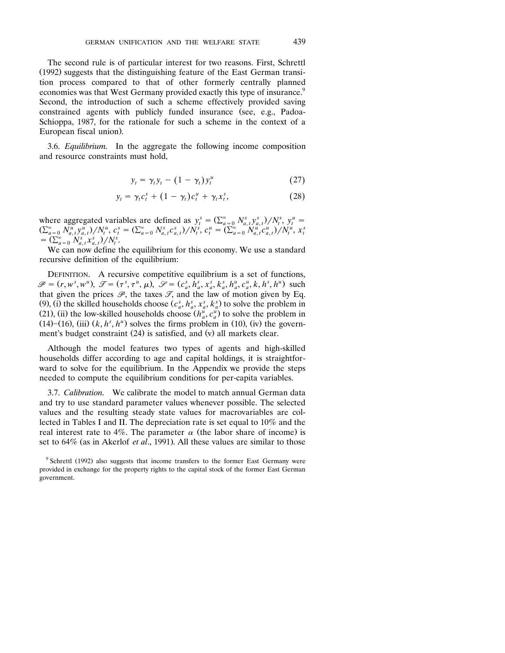The second rule is of particular interest for two reasons. First, Schrettl (1992) suggests that the distinguishing feature of the East German transition process compared to that of other formerly centrally planned economies was that West Germany provided exactly this type of insurance.<sup>9</sup> Second, the introduction of such a scheme effectively provided saving constrained agents with publicly funded insurance (see, e.g., Padoa-Schioppa, 1987, for the rationale for such a scheme in the context of a European fiscal union).

3.6. *Equilibrium*. In the aggregate the following income composition and resource constraints must hold,

$$
y_t = \gamma_t y_t - (1 - \gamma_t) y_t^u \tag{27}
$$

$$
y_t = \gamma_t c_t^s + (1 - \gamma_t) c_t^u + \gamma_t x_t^s, \qquad (28)
$$

where aggregated variables are defined as  $y_t^s = (\sum_{a=0}^{\infty} N_{a,t}^s y_{a,t}^s)/N_t^s$ ,  $y_t^u =$  $(\sum_{a=0}^{\infty} N_{a,t}^{u} y_{a,t}^{u})/N_{t}^{u}, c_{t}^{s} = (\sum_{a=0}^{\infty} N_{a,t}^{s} c_{a,t}^{s})/N_{t}^{s}, c_{t}^{u} = (\sum_{a=0}^{\infty} N_{a,t}^{u} c_{a,t}^{u})/N_{t}^{u}, x_{t}^{s}$  $= (\sum_{a=0}^{\infty} N_{a,t}^{s} x_{a,t}^{s})/N_{t}^{s}.$ 

We can now define the equilibrium for this economy. We use a standard recursive definition of the equilibrium:

DEFINITION. A recursive competitive equilibrium is a set of functions,  $\mathscr{P} = (r, w^s, w^u), \ \mathscr{T} = (\tau^s, \tau^u, \mu), \ \mathscr{S} = (c_a^s, \dot{h}_a^s, x_a^s, k_a^s, h_a^u, c_a^u, k, h^s, h^u)$  such that given the prices  $\mathscr{P}$ , the taxes  $\mathscr{T}$ , and the law of motion given by Eq. (9), (i) the skilled households choose  $(c_a^s, h_a^s, x_a^s, k_a^s)$  to solve the problem in (21), (ii) the low-skilled households choose  $(h_u^{\tilde{u}}, c_a^{\tilde{u}})$  to solve the problem in  $(14)$ – $(16)$ ,  $(iii)$   $(k, h^s, h^u)$  solves the firms problem in  $(10)$ ,  $(iv)$  the government's budget constraint (24) is satisfied, and (v) all markets clear.

Although the model features two types of agents and high-skilled households differ according to age and capital holdings, it is straightforward to solve for the equilibrium. In the Appendix we provide the steps needed to compute the equilibrium conditions for per-capita variables.

3.7. *Calibration*. We calibrate the model to match annual German data and try to use standard parameter values whenever possible. The selected values and the resulting steady state values for macrovariables are collected in Tables I and II. The depreciation rate is set equal to 10% and the real interest rate to 4%. The parameter  $\alpha$  (the labor share of income) is set to 64% (as in Akerlof *et al.*, 1991). All these values are similar to those

 $9^9$  Schrettl (1992) also suggests that income transfers to the former East Germany were provided in exchange for the property rights to the capital stock of the former East German government.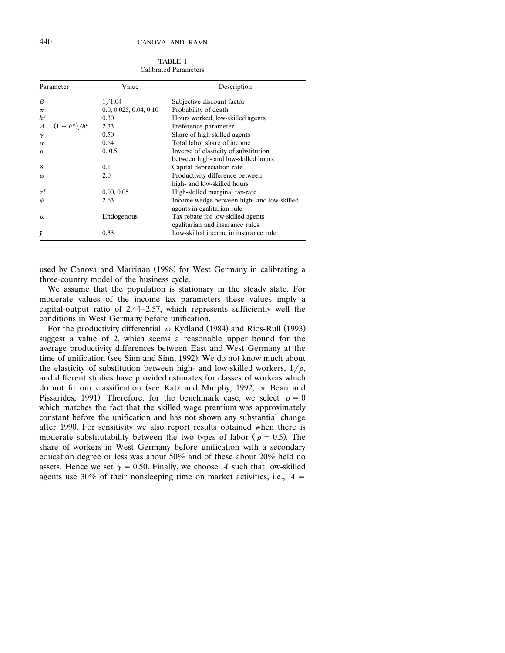#### 440 CANOVA AND RAVN

| Parameter           | Value                  | Description                                                              |  |  |  |  |  |
|---------------------|------------------------|--------------------------------------------------------------------------|--|--|--|--|--|
| β                   | 1/1.04                 | Subjective discount factor                                               |  |  |  |  |  |
| $\pi$               | 0.0, 0.025, 0.04, 0.10 | Probability of death                                                     |  |  |  |  |  |
| $h^u$               | 0.30                   | Hours worked, low-skilled agents                                         |  |  |  |  |  |
| $A = (1 - h^u)/h^u$ | 2.33                   | Preference parameter                                                     |  |  |  |  |  |
| $\gamma$            | 0.50                   | Share of high-skilled agents                                             |  |  |  |  |  |
| $\alpha$            | 0.64                   | Total labor share of income                                              |  |  |  |  |  |
| $\rho$              | 0, 0.5                 | Inverse of elasticity of substitution                                    |  |  |  |  |  |
|                     |                        | between high- and low-skilled hours                                      |  |  |  |  |  |
| δ                   | 0.1                    | Capital depreciation rate                                                |  |  |  |  |  |
| $\omega$            | 2.0                    | Productivity difference between                                          |  |  |  |  |  |
|                     |                        | high- and low-skilled hours                                              |  |  |  |  |  |
| $\tau^{s}$          | 0.00, 0.05             | High-skilled marginal tax-rate                                           |  |  |  |  |  |
| ψ                   | 2.63                   | Income wedge between high- and low-skilled<br>agents in egalitarian rule |  |  |  |  |  |
| $\mu$               | Endogenous             | Tax rebate for low-skilled agents<br>egalitarian and insurance rules     |  |  |  |  |  |
| $\bar{v}$           | 0.33                   | Low-skilled income in insurance rule                                     |  |  |  |  |  |

TABLE I Calibrated Parameters

used by Canova and Marrinan (1998) for West Germany in calibrating a three-country model of the business cycle.

We assume that the population is stationary in the steady state. For moderate values of the income tax parameters these values imply a capital-output ratio of  $2.44 - 2.57$ , which represents sufficiently well the conditions in West Germany before unification.

For the productivity differential  $\omega$  Kydland (1984) and Rios-Rull (1993) suggest a value of 2, which seems a reasonable upper bound for the average productivity differences between East and West Germany at the time of unification (see Sinn and Sinn, 1992). We do not know much about the elasticity of substitution between high- and low-skilled workers,  $1/\rho$ , and different studies have provided estimates for classes of workers which do not fit our classification (see Katz and Murphy, 1992, or Bean and Pissarides, 1991). Therefore, for the benchmark case, we select  $\rho = 0$ which matches the fact that the skilled wage premium was approximately constant before the unification and has not shown any substantial change after 1990. For sensitivity we also report results obtained when there is moderate substitutability between the two types of labor ( $\rho = 0.5$ ). The share of workers in West Germany before unification with a secondary education degree or less was about 50% and of these about 20% held no assets. Hence we set  $\gamma = 0.50$ . Finally, we choose *A* such that low-skilled agents use 30% of their nonsleeping time on market activities, i.e.,  $A =$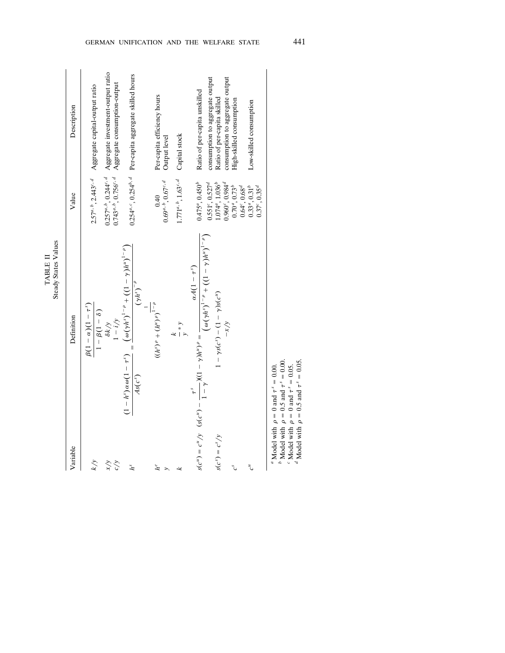|                                                                                                                                                                                                                                                        | Steady States Values<br>TABLE II |                                                              |                                                                                 |
|--------------------------------------------------------------------------------------------------------------------------------------------------------------------------------------------------------------------------------------------------------|----------------------------------|--------------------------------------------------------------|---------------------------------------------------------------------------------|
| Definition<br>Variable                                                                                                                                                                                                                                 |                                  | Value                                                        | Description                                                                     |
| $\beta(1-\alpha)(1-\tau^s)$<br>$1 - \beta(1 - \delta)$<br>k/y                                                                                                                                                                                          |                                  |                                                              | 2.57 <sup>a, b</sup> , 2.443 <sup>c, d</sup> Aggregate capital-output ratio     |
| $\frac{\delta k}{j}$<br>x/y<br>$c/\mathcal{Y}$                                                                                                                                                                                                         |                                  | $0.257^{a, b}, 0.244^{c, d}$<br>$0.743^{a, b}, 0.756^{c, d}$ | Aggregate investment-output ratio<br>Aggregate consumption-output               |
| $\frac{(1-h^{s})\alpha\omega(1-\tau^{s})}{m} = \frac{(\omega(\gamma h^{s})^{1-\rho} + ((1-\gamma)h^{u})^{1-\rho})}{m}$<br>$(\gamma h^s)^{-\rho}$<br>$As(c^s)$<br>h <sup>s</sup>                                                                        |                                  |                                                              | 0.254ª, <sup>c</sup> , 0.254 <sup>b, d</sup> Per-capita aggregate skilled hours |
| $((h^s )^\rho + (h^u )^\rho )^{1-\rho}$<br>$h^e$                                                                                                                                                                                                       |                                  | $0.69^{\,a,\,b},\,0.67^{c,\,d}$<br>0.40                      | Per-capita efficiency hours<br>Output level                                     |
| $\frac{1}{y} * y$<br>x                                                                                                                                                                                                                                 |                                  | $1.771^{a, b}$ , $1.63^{c, d}$                               | Capital stock                                                                   |
| $s(c^u) = c^u/y$ $(s(c^u) - \frac{\tau^s}{1 - \gamma})(1 - \gamma)h^u)^p = \frac{\alpha \lambda \lambda^s}{(\omega(\gamma h^s)^{1 - \rho} + ((1 - \gamma)h^u)^{1 - \rho})}$                                                                            |                                  | $0.475^a$ , $0.450^b$<br>$0.551^c, 0.527^d$                  | consumption to aggregate output<br>Ratio of per-capita unskilled                |
| $1 - \gamma s(c^s) - (1 - \gamma)s(c^u)$<br>$s(c^s) = c^s/y$                                                                                                                                                                                           |                                  | $1.074^a$ , $1.036^b$                                        | Ratio of per-capita skilled                                                     |
| $-x/y$                                                                                                                                                                                                                                                 |                                  | $0.960^c, 0.984^d$<br>$0.70^a, 0.73^b$                       | consumption to aggregate output<br>High-skilled consumption                     |
| r,                                                                                                                                                                                                                                                     |                                  | $0.64^c, 0.68^d$<br>$0.33^a, 0.31^b$<br>$0.37^c, 0.35^d$     | Low-skilled consumption                                                         |
| <sup>b</sup> Model with $\rho = 0.5$ and $\tau^s = 0.00$ .<br><sup>d</sup> Model with $\rho = 0.5$ and $\tau^s = 0.05$<br>$\epsilon$ Model with $\rho = 0$ and $\tau$ <sup>s</sup> = 0.05.<br><sup>a</sup> Model with $\rho = 0$ and $\tau^s = 0.00$ . |                                  |                                                              |                                                                                 |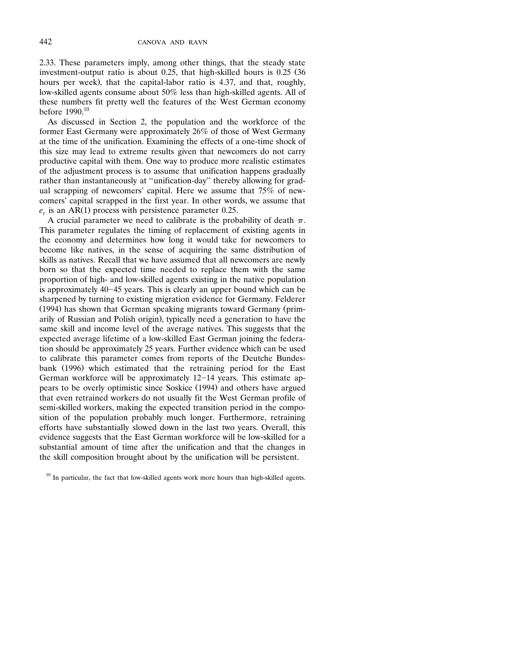2.33. These parameters imply, among other things, that the steady state investment-output ratio is about 0.25, that high-skilled hours is 0.25 (36 hours per week), that the capital-labor ratio is 4.37, and that, roughly, low-skilled agents consume about 50% less than high-skilled agents. All of these numbers fit pretty well the features of the West German economy before 1990.10

As discussed in Section 2, the population and the workforce of the former East Germany were approximately 26% of those of West Germany at the time of the unification. Examining the effects of a one-time shock of this size may lead to extreme results given that newcomers do not carry productive capital with them. One way to produce more realistic estimates of the adjustment process is to assume that unification happens gradually rather than instantaneously at ''unification-day'' thereby allowing for gradual scrapping of newcomers' capital. Here we assume that 75% of newcomers' capital scrapped in the first year. In other words, we assume that  $e_t$  is an AR(1) process with persistence parameter 0.25.

A crucial parameter we need to calibrate is the probability of death  $\pi$ . This parameter regulates the timing of replacement of existing agents in the economy and determines how long it would take for newcomers to become like natives, in the sense of acquiring the same distribution of skills as natives. Recall that we have assumed that all newcomers are newly born so that the expected time needed to replace them with the same proportion of high- and low-skilled agents existing in the native population is approximately  $40-45$  years. This is clearly an upper bound which can be sharpened by turning to existing migration evidence for Germany. Felderer  $(1994)$  has shown that German speaking migrants toward Germany (primarily of Russian and Polish origin), typically need a generation to have the same skill and income level of the average natives. This suggests that the expected average lifetime of a low-skilled East German joining the federation should be approximately 25 years. Further evidence which can be used to calibrate this parameter comes from reports of the Deutche Bundesbank (1996) which estimated that the retraining period for the East German workforce will be approximately  $12-14$  years. This estimate appears to be overly optimistic since Soskice (1994) and others have argued that even retrained workers do not usually fit the West German profile of semi-skilled workers, making the expected transition period in the composition of the population probably much longer. Furthermore, retraining efforts have substantially slowed down in the last two years. Overall, this evidence suggests that the East German workforce will be low-skilled for a substantial amount of time after the unification and that the changes in the skill composition brought about by the unification will be persistent.

<sup>&</sup>lt;sup>10</sup> In particular, the fact that low-skilled agents work more hours than high-skilled agents.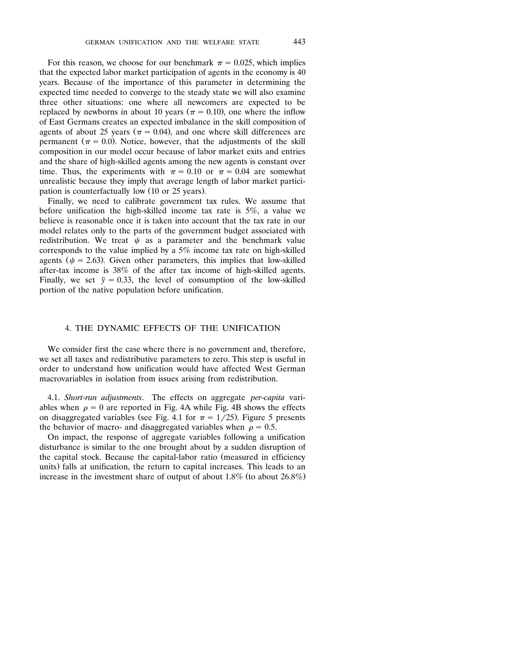For this reason, we choose for our benchmark  $\pi = 0.025$ , which implies that the expected labor market participation of agents in the economy is 40 years. Because of the importance of this parameter in determining the expected time needed to converge to the steady state we will also examine three other situations: one where all newcomers are expected to be replaced by newborns in about 10 years ( $\pi$  = 0.10), one where the inflow of East Germans creates an expected imbalance in the skill composition of agents of about 25 years ( $\pi$  = 0.04), and one where skill differences are permanent ( $\pi = 0.0$ ). Notice, however, that the adjustments of the skill composition in our model occur because of labor market exits and entries and the share of high-skilled agents among the new agents is constant over time. Thus, the experiments with  $\pi = 0.10$  or  $\pi = 0.04$  are somewhat unrealistic because they imply that average length of labor market participation is counterfactually low  $(10 \text{ or } 25 \text{ years})$ .

Finally, we need to calibrate government tax rules. We assume that before unification the high-skilled income tax rate is 5%, a value we believe is reasonable once it is taken into account that the tax rate in our model relates only to the parts of the government budget associated with redistribution. We treat  $\psi$  as a parameter and the benchmark value corresponds to the value implied by a  $5\%$  income tax rate on high-skilled agents ( $\psi$  = 2.63). Given other parameters, this implies that low-skilled after-tax income is 38% of the after tax income of high-skilled agents. Finally, we set  $\bar{y} = 0.33$ , the level of consumption of the low-skilled portion of the native population before unification.

#### 4. THE DYNAMIC EFFECTS OF THE UNIFICATION

We consider first the case where there is no government and, therefore, we set all taxes and redistributive parameters to zero. This step is useful in order to understand how unification would have affected West German macrovariables in isolation from issues arising from redistribution.

4.1. *Short*-*run adjustments*. The effects on aggregate *per*-*capita* variables when  $\rho = 0$  are reported in Fig. 4A while Fig. 4B shows the effects on disaggregated variables (see Fig. 4.1 for  $\pi = 1/25$ ). Figure 5 presents the behavior of macro- and disaggregated variables when  $\rho = 0.5$ .

On impact, the response of aggregate variables following a unification disturbance is similar to the one brought about by a sudden disruption of the capital stock. Because the capital-labor ratio (measured in efficiency units) falls at unification, the return to capital increases. This leads to an increase in the investment share of output of about  $1.8\%$  (to about  $26.8\%$ )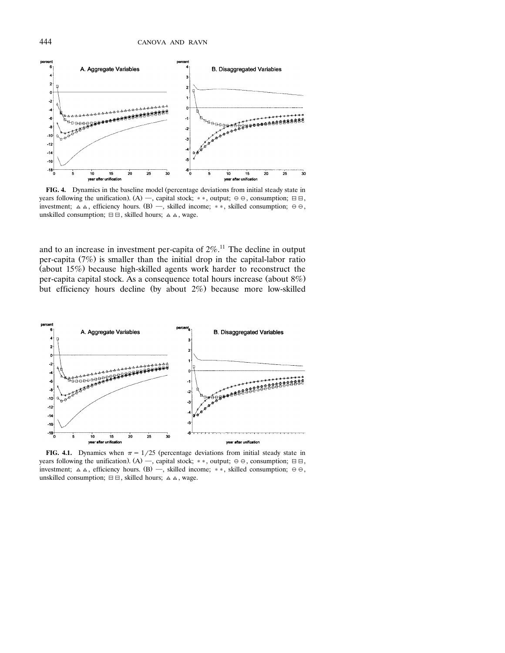

**FIG. 4.** Dynamics in the baseline model (percentage deviations from initial steady state in years following the unification). (A) —, capital stock;  $**$ , output;  $\Theta \Theta$ , consumption;  $\Xi \Xi$ , investment;  $\Delta \Delta$ , efficiency hours. (B) -, skilled income; \*\*, skilled consumption;  $\Theta \Theta$ , unskilled consumption;  $\boxminus \boxminus \equiv$ , skilled hours;  $\triangleq \triangleq$ , wage.

and to an increase in investment per-capita of  $2\%$ .<sup>11</sup> The decline in output per-capita  $(7%)$  is smaller than the initial drop in the capital-labor ratio (about 15%) because high-skilled agents work harder to reconstruct the per-capita capital stock. As a consequence total hours increase (about  $8\%$ ) but efficiency hours decline (by about  $2\%$ ) because more low-skilled



**FIG. 4.1.** Dynamics when  $\pi = 1/25$  (percentage deviations from initial steady state in years following the unification). (A) –, capital stock;  $**$ , output;  $\Theta \Theta$ , consumption;  $\Box \Box$ , investment;  $\Delta \Delta$ , efficiency hours. (B) -, skilled income; \*\*, skilled consumption;  $\Theta \Theta$ , unskilled consumption;  $\exists \exists$ , skilled hours;  $\Delta \Delta$ , wage.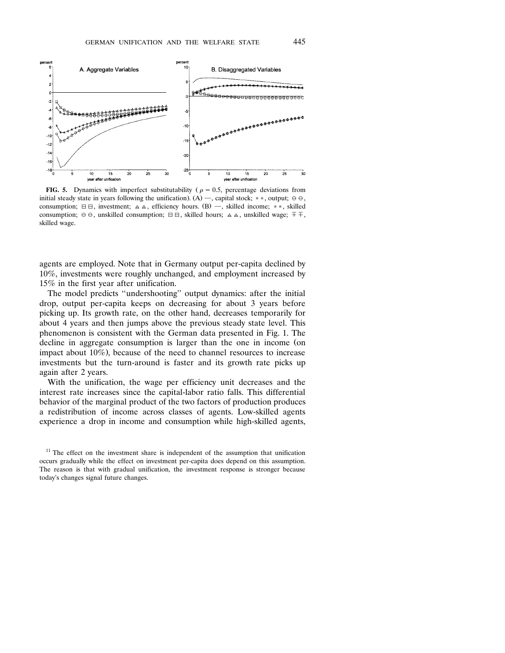

**FIG. 5.** Dynamics with imperfect substitutability ( $\rho = 0.5$ , percentage deviations from initial steady state in years following the unification). (A) —, capital stock;  $**$ , output;  $\Theta \Theta$ , consumption;  $\exists \exists$ , investment;  $\forall A \in A$ , efficiency hours. (B) -, skilled income; \*\*, skilled consumption;  $\Theta \Theta$ , unskilled consumption;  $\Box \Box$ , skilled hours;  $\triangleq \triangleq$ , unskilled wage;  $\overline{+}\overline{+}$ , skilled wage.

agents are employed. Note that in Germany output per-capita declined by 10%, investments were roughly unchanged, and employment increased by 15% in the first year after unification.

The model predicts ''undershooting'' output dynamics: after the initial drop, output per-capita keeps on decreasing for about 3 years before picking up. Its growth rate, on the other hand, decreases temporarily for about 4 years and then jumps above the previous steady state level. This phenomenon is consistent with the German data presented in Fig. 1. The decline in aggregate consumption is larger than the one in income (on impact about  $10\%$ ), because of the need to channel resources to increase investments but the turn-around is faster and its growth rate picks up again after 2 years.

With the unification, the wage per efficiency unit decreases and the interest rate increases since the capital-labor ratio falls. This differential behavior of the marginal product of the two factors of production produces a redistribution of income across classes of agents. Low-skilled agents experience a drop in income and consumption while high-skilled agents,

 $11$  The effect on the investment share is independent of the assumption that unification occurs gradually while the effect on investment per-capita does depend on this assumption. The reason is that with gradual unification, the investment response is stronger because today's changes signal future changes.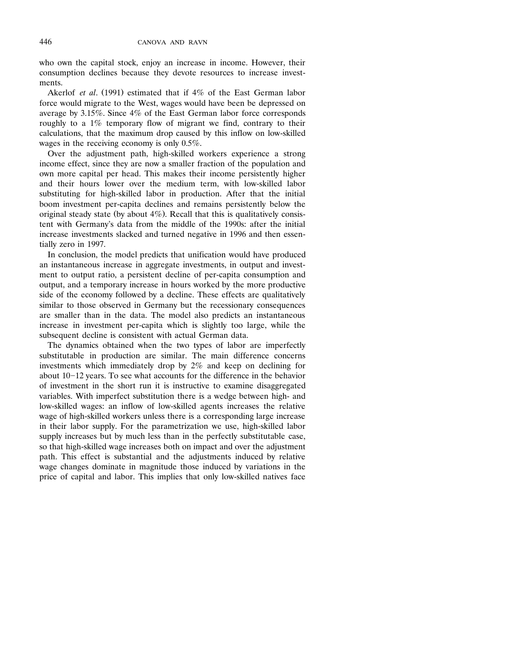who own the capital stock, enjoy an increase in income. However, their consumption declines because they devote resources to increase investments.

Akerlof *et al.* (1991) estimated that if 4% of the East German labor force would migrate to the West, wages would have been be depressed on average by 3.15%. Since 4% of the East German labor force corresponds roughly to a 1% temporary flow of migrant we find, contrary to their calculations, that the maximum drop caused by this inflow on low-skilled wages in the receiving economy is only 0.5%.

Over the adjustment path, high-skilled workers experience a strong income effect, since they are now a smaller fraction of the population and own more capital per head. This makes their income persistently higher and their hours lower over the medium term, with low-skilled labor substituting for high-skilled labor in production. After that the initial boom investment per-capita declines and remains persistently below the original steady state (by about  $4\%$ ). Recall that this is qualitatively consistent with Germany's data from the middle of the 1990s: after the initial increase investments slacked and turned negative in 1996 and then essentially zero in 1997.

In conclusion, the model predicts that unification would have produced an instantaneous increase in aggregate investments, in output and investment to output ratio, a persistent decline of per-capita consumption and output, and a temporary increase in hours worked by the more productive side of the economy followed by a decline. These effects are qualitatively similar to those observed in Germany but the recessionary consequences are smaller than in the data. The model also predicts an instantaneous increase in investment per-capita which is slightly too large, while the subsequent decline is consistent with actual German data.

The dynamics obtained when the two types of labor are imperfectly substitutable in production are similar. The main difference concerns investments which immediately drop by 2% and keep on declining for about 10-12 years. To see what accounts for the difference in the behavior of investment in the short run it is instructive to examine disaggregated variables. With imperfect substitution there is a wedge between high- and low-skilled wages: an inflow of low-skilled agents increases the relative wage of high-skilled workers unless there is a corresponding large increase in their labor supply. For the parametrization we use, high-skilled labor supply increases but by much less than in the perfectly substitutable case, so that high-skilled wage increases both on impact and over the adjustment path. This effect is substantial and the adjustments induced by relative wage changes dominate in magnitude those induced by variations in the price of capital and labor. This implies that only low-skilled natives face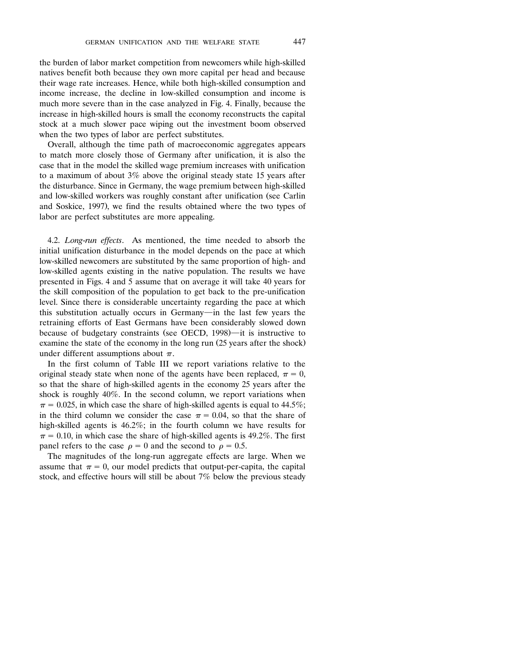the burden of labor market competition from newcomers while high-skilled natives benefit both because they own more capital per head and because their wage rate increases. Hence, while both high-skilled consumption and income increase, the decline in low-skilled consumption and income is much more severe than in the case analyzed in Fig. 4. Finally, because the increase in high-skilled hours is small the economy reconstructs the capital stock at a much slower pace wiping out the investment boom observed when the two types of labor are perfect substitutes.

Overall, although the time path of macroeconomic aggregates appears to match more closely those of Germany after unification, it is also the case that in the model the skilled wage premium increases with unification to a maximum of about 3% above the original steady state 15 years after the disturbance. Since in Germany, the wage premium between high-skilled and low-skilled workers was roughly constant after unification (see Carlin and Soskice, 1997), we find the results obtained where the two types of labor are perfect substitutes are more appealing.

4.2. *Long*-*run effects*. As mentioned, the time needed to absorb the initial unification disturbance in the model depends on the pace at which low-skilled newcomers are substituted by the same proportion of high- and low-skilled agents existing in the native population. The results we have presented in Figs. 4 and 5 assume that on average it will take 40 years for the skill composition of the population to get back to the pre-unification level. Since there is considerable uncertainty regarding the pace at which this substitution actually occurs in Germany—in the last few years the retraining efforts of East Germans have been considerably slowed down because of budgetary constraints (see OECD, 1998)—it is instructive to examine the state of the economy in the long run (25 years after the shock) under different assumptions about  $\pi$ .

In the first column of Table III we report variations relative to the original steady state when none of the agents have been replaced,  $\pi = 0$ , so that the share of high-skilled agents in the economy 25 years after the shock is roughly 40%. In the second column, we report variations when  $\pi = 0.025$ , in which case the share of high-skilled agents is equal to 44.5%; in the third column we consider the case  $\pi = 0.04$ , so that the share of high-skilled agents is 46.2%; in the fourth column we have results for  $\pi$  = 0.10, in which case the share of high-skilled agents is 49.2%. The first panel refers to the case  $\rho = 0$  and the second to  $\rho = 0.5$ .

The magnitudes of the long-run aggregate effects are large. When we assume that  $\pi = 0$ , our model predicts that output-per-capita, the capital stock, and effective hours will still be about 7% below the previous steady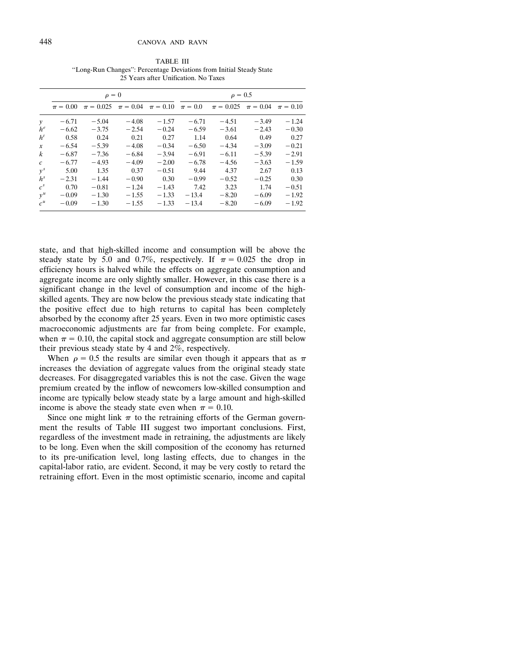|                  |              | $\rho = 0$ |         |         | $\rho = 0.5$ |                                                                   |                           |         |  |  |
|------------------|--------------|------------|---------|---------|--------------|-------------------------------------------------------------------|---------------------------|---------|--|--|
|                  | $\pi = 0.00$ |            |         |         |              | $\pi = 0.025$ $\pi = 0.04$ $\pi = 0.10$ $\pi = 0.0$ $\pi = 0.025$ | $\pi = 0.04$ $\pi = 0.10$ |         |  |  |
| y                | $-6.71$      | $-5.04$    | $-4.08$ | $-1.57$ | $-6.71$      | $-4.51$                                                           | $-3.49$                   | $-1.24$ |  |  |
| $h^e$            | $-6.62$      | $-3.75$    | $-2.54$ | $-0.24$ | $-6.59$      | $-3.61$                                                           | $-2.43$                   | $-0.30$ |  |  |
| $h^t$            | 0.58         | 0.24       | 0.21    | 0.27    | 1.14         | 0.64                                                              | 0.49                      | 0.27    |  |  |
| $\boldsymbol{x}$ | $-6.54$      | $-5.39$    | $-4.08$ | $-0.34$ | $-6.50$      | $-4.34$                                                           | $-3.09$                   | $-0.21$ |  |  |
| $\boldsymbol{k}$ | $-6.87$      | $-7.36$    | $-6.84$ | $-3.94$ | $-6.91$      | $-6.11$                                                           | $-5.39$                   | $-2.91$ |  |  |
| $\mathcal{C}$    | $-6.77$      | $-4.93$    | $-4.09$ | $-2.00$ | $-6.78$      | $-4.56$                                                           | $-3.63$                   | $-1.59$ |  |  |
| $y^s$            | 5.00         | 1.35       | 0.37    | $-0.51$ | 9.44         | 4.37                                                              | 2.67                      | 0.13    |  |  |
| $h^{s}$          | $-2.31$      | $-1.44$    | $-0.90$ | 0.30    | $-0.99$      | $-0.52$                                                           | $-0.25$                   | 0.30    |  |  |
| c <sup>s</sup>   | 0.70         | $-0.81$    | $-1.24$ | $-1.43$ | 7.42         | 3.23                                                              | 1.74                      | $-0.51$ |  |  |
| $y^{\mu}$        | $-0.09$      | $-1.30$    | $-1.55$ | $-1.33$ | $-13.4$      | $-8.20$                                                           | $-6.09$                   | $-1.92$ |  |  |
| $c^u$            | $-0.09$      | $-1.30$    | $-1.55$ | $-1.33$ | $-13.4$      | $-8.20$                                                           | $-6.09$                   | $-1.92$ |  |  |

TABLE III ''Long-Run Changes'': Percentage Deviations from Initial Steady State 25 Years after Unification. No Taxes

state, and that high-skilled income and consumption will be above the steady state by 5.0 and 0.7%, respectively. If  $\pi = 0.025$  the drop in efficiency hours is halved while the effects on aggregate consumption and aggregate income are only slightly smaller. However, in this case there is a significant change in the level of consumption and income of the highskilled agents. They are now below the previous steady state indicating that the positive effect due to high returns to capital has been completely absorbed by the economy after 25 years. Even in two more optimistic cases macroeconomic adjustments are far from being complete. For example, when  $\pi = 0.10$ , the capital stock and aggregate consumption are still below their previous steady state by 4 and 2%, respectively.

When  $\rho = 0.5$  the results are similar even though it appears that as  $\pi$ increases the deviation of aggregate values from the original steady state decreases. For disaggregated variables this is not the case. Given the wage premium created by the inflow of newcomers low-skilled consumption and income are typically below steady state by a large amount and high-skilled income is above the steady state even when  $\pi = 0.10$ .

Since one might link  $\pi$  to the retraining efforts of the German government the results of Table III suggest two important conclusions. First, regardless of the investment made in retraining, the adjustments are likely to be long. Even when the skill composition of the economy has returned to its pre-unification level, long lasting effects, due to changes in the capital-labor ratio, are evident. Second, it may be very costly to retard the retraining effort. Even in the most optimistic scenario, income and capital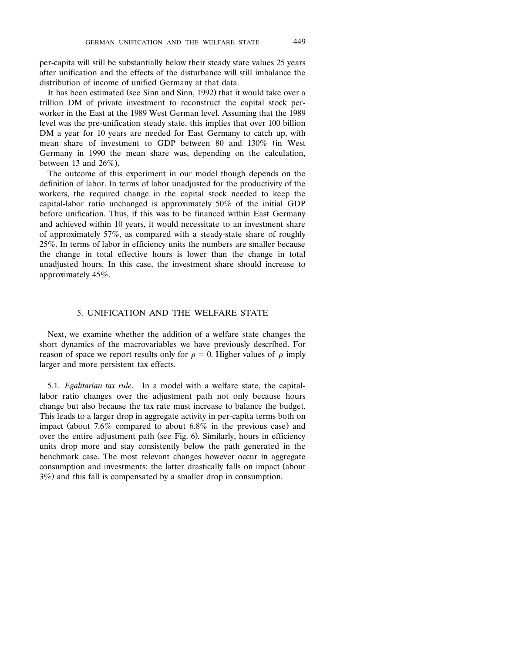per-capita will still be substantially below their steady state values 25 years after unification and the effects of the disturbance will still imbalance the distribution of income of unified Germany at that data.

It has been estimated (see Sinn and Sinn, 1992) that it would take over a trillion DM of private investment to reconstruct the capital stock perworker in the East at the 1989 West German level. Assuming that the 1989 level was the pre-unification steady state, this implies that over 100 billion DM a year for 10 years are needed for East Germany to catch up, with mean share of investment to GDP between 80 and 130% (in West Germany in 1990 the mean share was, depending on the calculation, between 13 and  $26\%$ ).

The outcome of this experiment in our model though depends on the definition of labor. In terms of labor unadjusted for the productivity of the workers, the required change in the capital stock needed to keep the capital-labor ratio unchanged is approximately 50% of the initial GDP before unification. Thus, if this was to be financed within East Germany and achieved within 10 years, it would necessitate to an investment share of approximately 57%, as compared with a steady-state share of roughly 25%. In terms of labor in efficiency units the numbers are smaller because the change in total effective hours is lower than the change in total unadjusted hours. In this case, the investment share should increase to approximately 45%.

## 5. UNIFICATION AND THE WELFARE STATE

Next, we examine whether the addition of a welfare state changes the short dynamics of the macrovariables we have previously described. For reason of space we report results only for  $\rho = 0$ . Higher values of  $\rho$  imply larger and more persistent tax effects.

5.1. *Egalitarian tax rule*. In a model with a welfare state, the capitallabor ratio changes over the adjustment path not only because hours change but also because the tax rate must increase to balance the budget. This leads to a larger drop in aggregate activity in per-capita terms both on impact (about 7.6% compared to about 6.8% in the previous case) and over the entire adjustment path (see Fig. 6). Similarly, hours in efficiency units drop more and stay consistently below the path generated in the benchmark case. The most relevant changes however occur in aggregate consumption and investments: the latter drastically falls on impact (about 3%) and this fall is compensated by a smaller drop in consumption.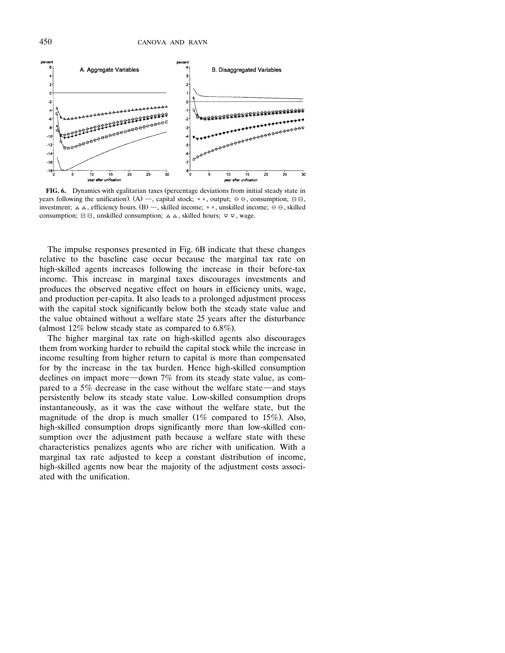

**FIG. 6.** Dynamics with egalitarian taxes (percentage deviations from initial steady state in years following the unification). (A) –, capital stock;  $**$ , output;  $\Theta \Theta$ , consumption,  $\Xi \Xi$ , investment;  $\Delta \Delta$ , efficiency hours. (B) –, skilled income; \*\*, unskilled income;  $\Theta \Theta$ , skilled consumption;  $\exists \exists$ , unskilled consumption;  $\Delta \Delta$ , skilled hours;  $\Delta \Delta \Delta \Delta \gamma$ , wage.

The impulse responses presented in Fig. 6B indicate that these changes relative to the baseline case occur because the marginal tax rate on high-skilled agents increases following the increase in their before-tax income. This increase in marginal taxes discourages investments and produces the observed negative effect on hours in efficiency units, wage, and production per-capita. It also leads to a prolonged adjustment process with the capital stock significantly below both the steady state value and the value obtained without a welfare state 25 years after the disturbance (almost  $12\%$  below steady state as compared to  $6.8\%$ ).

The higher marginal tax rate on high-skilled agents also discourages them from working harder to rebuild the capital stock while the increase in income resulting from higher return to capital is more than compensated for by the increase in the tax burden. Hence high-skilled consumption declines on impact more—down 7% from its steady state value, as compared to a 5% decrease in the case without the welfare state—and stays persistently below its steady state value. Low-skilled consumption drops instantaneously, as it was the case without the welfare state, but the magnitude of the drop is much smaller  $(1\%$  compared to  $15\%$ ). Also, high-skilled consumption drops significantly more than low-skilled consumption over the adjustment path because a welfare state with these characteristics penalizes agents who are richer with unification. With a marginal tax rate adjusted to keep a constant distribution of income, high-skilled agents now bear the majority of the adjustment costs associated with the unification.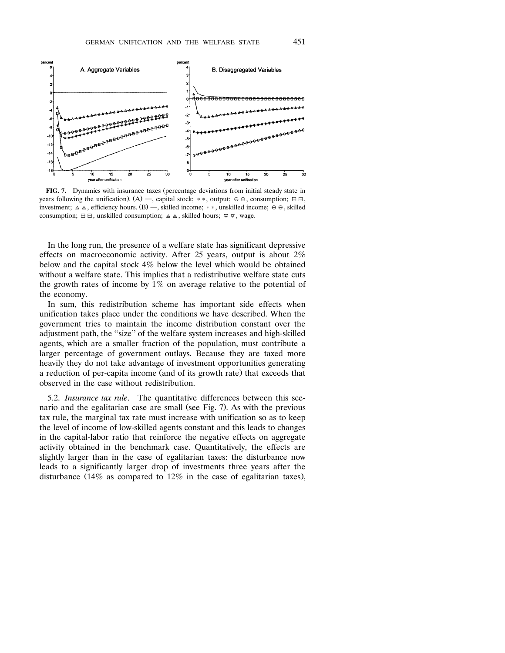

**FIG. 7.** Dynamics with insurance taxes (percentage deviations from initial steady state in years following the unification). (A) –, capital stock;  $**$ , output;  $\Theta \Theta$ , consumption;  $\Box \Box$ , investment;  $\Delta \Delta$ , efficiency hours. (B) –, skilled income; \*\*, unskilled income;  $\Theta \Theta$ , skilled consumption;  $\exists \exists$ , unskilled consumption;  $\Delta \Delta$ , skilled hours;  $\Delta \Delta \Delta \Delta \gamma$ , wage.

In the long run, the presence of a welfare state has significant depressive effects on macroeconomic activity. After 25 years, output is about 2% below and the capital stock 4% below the level which would be obtained without a welfare state. This implies that a redistributive welfare state cuts the growth rates of income by 1% on average relative to the potential of the economy.

In sum, this redistribution scheme has important side effects when unification takes place under the conditions we have described. When the government tries to maintain the income distribution constant over the adjustment path, the ''size'' of the welfare system increases and high-skilled agents, which are a smaller fraction of the population, must contribute a larger percentage of government outlays. Because they are taxed more heavily they do not take advantage of investment opportunities generating a reduction of per-capita income (and of its growth rate) that exceeds that observed in the case without redistribution.

5.2. *Insurance tax rule*. The quantitative differences between this scenario and the egalitarian case are small (see Fig. 7). As with the previous tax rule, the marginal tax rate must increase with unification so as to keep the level of income of low-skilled agents constant and this leads to changes in the capital-labor ratio that reinforce the negative effects on aggregate activity obtained in the benchmark case. Quantitatively, the effects are slightly larger than in the case of egalitarian taxes: the disturbance now leads to a significantly larger drop of investments three years after the disturbance  $(14\%$  as compared to  $12\%$  in the case of egalitarian taxes),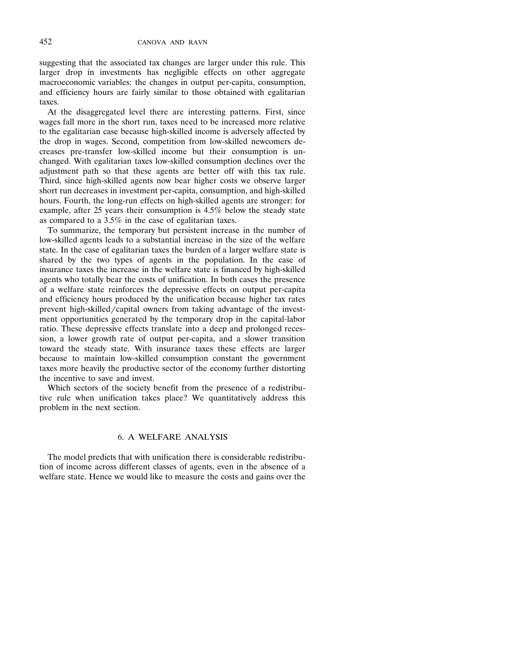suggesting that the associated tax changes are larger under this rule. This larger drop in investments has negligible effects on other aggregate macroeconomic variables: the changes in output per-capita, consumption, and efficiency hours are fairly similar to those obtained with egalitarian taxes.

At the disaggregated level there are interesting patterns. First, since wages fall more in the short run, taxes need to be increased more relative to the egalitarian case because high-skilled income is adversely affected by the drop in wages. Second, competition from low-skilled newcomers decreases pre-transfer low-skilled income but their consumption is unchanged. With egalitarian taxes low-skilled consumption declines over the adjustment path so that these agents are better off with this tax rule. Third, since high-skilled agents now bear higher costs we observe larger short run decreases in investment per-capita, consumption, and high-skilled hours. Fourth, the long-run effects on high-skilled agents are stronger: for example, after 25 years their consumption is 4.5% below the steady state as compared to a 3.5% in the case of egalitarian taxes.

To summarize, the temporary but persistent increase in the number of low-skilled agents leads to a substantial increase in the size of the welfare state. In the case of egalitarian taxes the burden of a larger welfare state is shared by the two types of agents in the population. In the case of insurance taxes the increase in the welfare state is financed by high-skilled agents who totally bear the costs of unification. In both cases the presence of a welfare state reinforces the depressive effects on output per-capita and efficiency hours produced by the unification because higher tax rates prevent high-skilled/capital owners from taking advantage of the investment opportunities generated by the temporary drop in the capital-labor ratio. These depressive effects translate into a deep and prolonged recession, a lower growth rate of output per-capita, and a slower transition toward the steady state. With insurance taxes these effects are larger because to maintain low-skilled consumption constant the government taxes more heavily the productive sector of the economy further distorting the incentive to save and invest.

Which sectors of the society benefit from the presence of a redistributive rule when unification takes place? We quantitatively address this problem in the next section.

## 6. A WELFARE ANALYSIS

The model predicts that with unification there is considerable redistribution of income across different classes of agents, even in the absence of a welfare state. Hence we would like to measure the costs and gains over the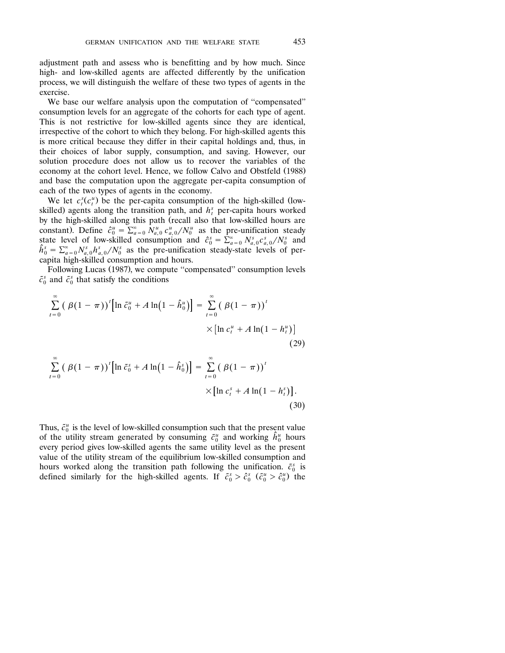adjustment path and assess who is benefitting and by how much. Since high- and low-skilled agents are affected differently by the unification process, we will distinguish the welfare of these two types of agents in the exercise.

We base our welfare analysis upon the computation of ''compensated'' consumption levels for an aggregate of the cohorts for each type of agent. This is not restrictive for low-skilled agents since they are identical, irrespective of the cohort to which they belong. For high-skilled agents this is more critical because they differ in their capital holdings and, thus, in their choices of labor supply, consumption, and saving. However, our solution procedure does not allow us to recover the variables of the economy at the cohort level. Hence, we follow Calvo and Obstfeld (1988) and base the computation upon the aggregate per-capita consumption of each of the two types of agents in the economy.

We let  $c_i^s(c_i^u)$  be the per-capita consumption of the high-skilled (lowskilled) agents along the transition path, and  $h_t^s$  per-capita hours worked by the high-skilled along this path (recall also that low-skilled hours are constant). Define  $\hat{c}_0^u = \sum_{a=0}^{\infty} N_{a,0}^u c_{a,0}^u / N_0^u$  as the pre-unification steady state level of low-skilled consumption and  $\hat{c}_0^s = \sum_{a=0}^{\infty} N_{a,0}^s c_{a,0}^s / N_0^s$  and  $\hat{h}_0^s = \sum_{a=0}^{\infty} N_{a,0}^s h_{a,0}^s / N_0^s$  as the pre-unification steady-state levels of percapita high-skilled consumption and hours.

Following Lucas (1987), we compute "compensated" consumption levels  $\tilde{c}_0^s$  and  $\tilde{c}_0^s$  that satisfy the conditions

$$
\sum_{t=0}^{\infty} (\beta(1-\pi))^{t} \Big[ \ln \tilde{c}_{0}^{u} + A \ln(1-\hat{h}_{0}^{u}) \Big] = \sum_{t=0}^{\infty} (\beta(1-\pi))^{t} \times \Big[ \ln c_{t}^{u} + A \ln(1-h_{t}^{u}) \Big]
$$
\n(29)

$$
\sum_{t=0}^{\infty} \left( \beta (1 - \pi) \right)^{t} \left[ \ln \tilde{c}_{0}^{s} + A \ln (1 - \hat{h}_{0}^{s}) \right] = \sum_{t=0}^{\infty} \left( \beta (1 - \pi) \right)^{t} \times \left[ \ln c_{t}^{s} + A \ln (1 - h_{t}^{s}) \right].
$$
\n(30)

Thus,  $\tilde{c}_0^u$  is the level of low-skilled consumption such that the present value of the utility stream generated by consuming  $\tilde{c}_0^u$  and working  $\hat{h}_0^u$  hours every period gives low-skilled agents the same utility level as the present value of the utility stream of the equilibrium low-skilled consumption and hours worked along the transition path following the unification.  $\tilde{c}_0^s$  is defined similarly for the high-skilled agents. If  $\tilde{c}_0^s > \hat{c}_0^s$  ( $\tilde{c}_0^u > \hat{c}_0^u$ ) the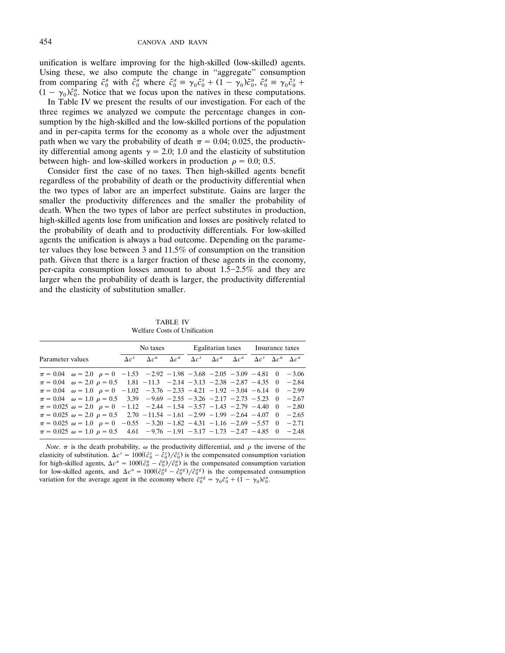unification is welfare improving for the high-skilled (low-skilled) agents. Using these, we also compute the change in ''aggregate'' consumption from comparing  $\tilde{c}_0^a$  with  $\hat{c}_0^a$  where  $\tilde{c}_0^a = \gamma_0 \tilde{c}_0^s + (1 - \gamma_0) \tilde{c}_0^u$ ,  $\hat{c}_0^a = \gamma_0 \hat{c}_0^s +$  $(1 - \gamma_0)\hat{c}_0^u$ . Notice that we focus upon the natives in these computations.

In Table IV we present the results of our investigation. For each of the three regimes we analyzed we compute the percentage changes in consumption by the high-skilled and the low-skilled portions of the population and in per-capita terms for the economy as a whole over the adjustment path when we vary the probability of death  $\pi = 0.04$ ; 0.025, the productivity differential among agents  $\gamma = 2.0$ ; 1.0 and the elasticity of substitution between high- and low-skilled workers in production  $\rho = 0.0$ ; 0.5.

Consider first the case of no taxes. Then high-skilled agents benefit regardless of the probability of death or the productivity differential when the two types of labor are an imperfect substitute. Gains are larger the smaller the productivity differences and the smaller the probability of death. When the two types of labor are perfect substitutes in production, high-skilled agents lose from unification and losses are positively related to the probability of death and to productivity differentials. For low-skilled agents the unification is always a bad outcome. Depending on the parameter values they lose between 3 and 11.5% of consumption on the transition path. Given that there is a larger fraction of these agents in the economy, per-capita consumption losses amount to about  $1.5-2.5\%$  and they are larger when the probability of death is larger, the productivity differential and the elasticity of substitution smaller.

|                  |                                                                                                           |  |                                                                                                                      |  | No taxes Egalitarian taxes Insurance taxes |  |  |  |  |         |
|------------------|-----------------------------------------------------------------------------------------------------------|--|----------------------------------------------------------------------------------------------------------------------|--|--------------------------------------------|--|--|--|--|---------|
| Parameter values |                                                                                                           |  | $\Delta c^s = \Delta c^u = \Delta c^a = \Delta c^s = \Delta c^u = \Delta c^a = \Delta c^s = \Delta c^u = \Delta c^a$ |  |                                            |  |  |  |  |         |
|                  | $\pi = 0.04$ $\omega = 2.0$ $\rho = 0$ $-1.53$ $-2.92$ $-1.98$ $-3.68$ $-2.05$ $-3.09$ $-4.81$ 0 $-3.06$  |  |                                                                                                                      |  |                                            |  |  |  |  |         |
|                  | $\pi = 0.04$ $\omega = 2.0$ $\rho = 0.5$ $1.81$ $-11.3$ $-2.14$ $-3.13$ $-2.38$ $-2.87$ $-4.35$ 0 $-2.84$ |  |                                                                                                                      |  |                                            |  |  |  |  |         |
|                  | $\pi = 0.04$ $\omega = 1.0$ $\rho = 0$ $-1.02$ $-3.76$ $-2.33$ $-4.21$ $-1.92$ $-3.04$ $-6.14$ 0 $-2.99$  |  |                                                                                                                      |  |                                            |  |  |  |  |         |
|                  | $\pi = 0.04$ $\omega = 1.0$ $\rho = 0.5$ 3.39 $-9.69$ $-2.55$ $-3.26$ $-2.17$ $-2.73$ $-5.23$ 0           |  |                                                                                                                      |  |                                            |  |  |  |  | $-2.67$ |
|                  | $\pi = 0.025$ $\omega = 2.0$ $\rho = 0$ $-1.12$ $-2.44$ $-1.54$ $-3.57$ $-1.43$ $-2.79$ $-4.40$ 0         |  |                                                                                                                      |  |                                            |  |  |  |  | $-2.80$ |
|                  | $\pi = 0.025$ $\omega = 2.0$ $\rho = 0.5$ 2.70 $-11.54$ $-1.61$ $-2.99$ $-1.99$ $-2.64$ $-4.07$ 0 $-2.65$ |  |                                                                                                                      |  |                                            |  |  |  |  |         |
|                  | $\pi = 0.025$ $\omega = 1.0$ $\rho = 0$ $-0.55$ $-3.20$ $-1.82$ $-4.31$ $-1.16$ $-2.69$ $-5.57$ 0 $-2.71$ |  |                                                                                                                      |  |                                            |  |  |  |  |         |
|                  | $\pi = 0.025$ $\omega = 1.0$ $\rho = 0.5$ 4.61 - 9.76 - 1.91 - 3.17 - 1.73 - 2.47 - 4.85 0 - 2.48         |  |                                                                                                                      |  |                                            |  |  |  |  |         |

TABLE IV Welfare Costs of Unification

*Note.*  $\pi$  is the death probability,  $\omega$  the productivity differential, and  $\rho$  the inverse of the elasticity of substitution.  $\Delta c^s = 100((\tilde{c}_0^s - \tilde{c}_0^s)/\tilde{c}_0^s)$  is the compensated consumption variation for high-skilled agents,  $\Delta c^u = 100((\tilde{c}_0^u - \tilde{c}_0^u)/\tilde{c}_0^u)$  is the compensated consumption variation<br>for low-skilled agents, and  $\Delta c^a = 100((\tilde{c}_0^{a} s - \hat{c}_0^{a} s)/\hat{c}_0^a s)$  is the compensated consumption<br>varia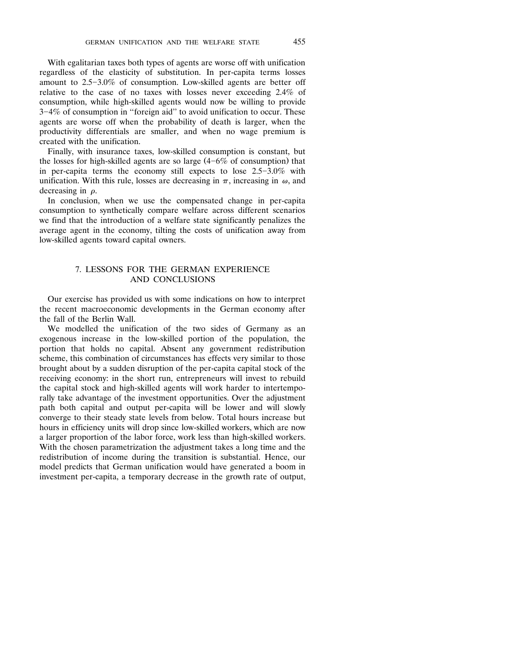With egalitarian taxes both types of agents are worse off with unification regardless of the elasticity of substitution. In per-capita terms losses amount to  $2.5-3.0\%$  of consumption. Low-skilled agents are better off relative to the case of no taxes with losses never exceeding 2.4% of consumption, while high-skilled agents would now be willing to provide 34% of consumption in ''foreign aid'' to avoid unification to occur. These agents are worse off when the probability of death is larger, when the productivity differentials are smaller, and when no wage premium is created with the unification.

Finally, with insurance taxes, low-skilled consumption is constant, but the losses for high-skilled agents are so large  $(4-6\% \text{ of consumption})$  that in per-capita terms the economy still expects to lose  $2.5-3.0\%$  with unification. With this rule, losses are decreasing in  $\pi$ , increasing in  $\omega$ , and decreasing in  $\rho$ .

In conclusion, when we use the compensated change in per-capita consumption to synthetically compare welfare across different scenarios we find that the introduction of a welfare state significantly penalizes the average agent in the economy, tilting the costs of unification away from low-skilled agents toward capital owners.

## 7. LESSONS FOR THE GERMAN EXPERIENCE AND CONCLUSIONS

Our exercise has provided us with some indications on how to interpret the recent macroeconomic developments in the German economy after the fall of the Berlin Wall.

We modelled the unification of the two sides of Germany as an exogenous increase in the low-skilled portion of the population, the portion that holds no capital. Absent any government redistribution scheme, this combination of circumstances has effects very similar to those brought about by a sudden disruption of the per-capita capital stock of the receiving economy: in the short run, entrepreneurs will invest to rebuild the capital stock and high-skilled agents will work harder to intertemporally take advantage of the investment opportunities. Over the adjustment path both capital and output per-capita will be lower and will slowly converge to their steady state levels from below. Total hours increase but hours in efficiency units will drop since low-skilled workers, which are now a larger proportion of the labor force, work less than high-skilled workers. With the chosen parametrization the adjustment takes a long time and the redistribution of income during the transition is substantial. Hence, our model predicts that German unification would have generated a boom in investment per-capita, a temporary decrease in the growth rate of output,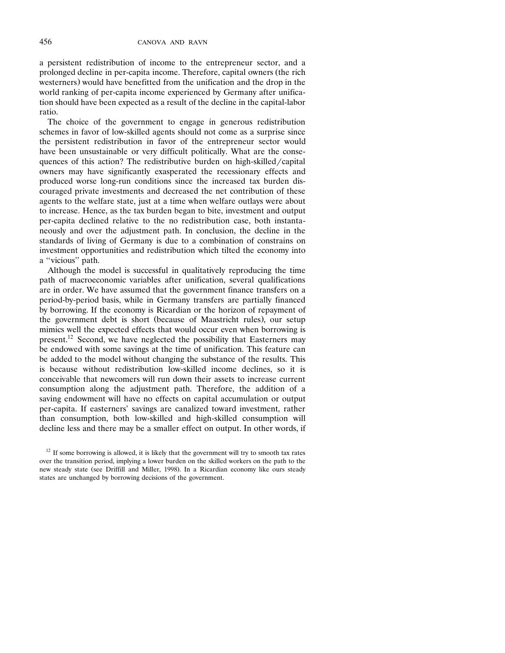a persistent redistribution of income to the entrepreneur sector, and a prolonged decline in per-capita income. Therefore, capital owners (the rich westerners) would have benefitted from the unification and the drop in the world ranking of per-capita income experienced by Germany after unification should have been expected as a result of the decline in the capital-labor ratio.

The choice of the government to engage in generous redistribution schemes in favor of low-skilled agents should not come as a surprise since the persistent redistribution in favor of the entrepreneur sector would have been unsustainable or very difficult politically. What are the consequences of this action? The redistributive burden on high-skilled/capital owners may have significantly exasperated the recessionary effects and produced worse long-run conditions since the increased tax burden discouraged private investments and decreased the net contribution of these agents to the welfare state, just at a time when welfare outlays were about to increase. Hence, as the tax burden began to bite, investment and output per-capita declined relative to the no redistribution case, both instantaneously and over the adjustment path. In conclusion, the decline in the standards of living of Germany is due to a combination of constrains on investment opportunities and redistribution which tilted the economy into a ''vicious'' path.

Although the model is successful in qualitatively reproducing the time path of macroeconomic variables after unification, several qualifications are in order. We have assumed that the government finance transfers on a period-by-period basis, while in Germany transfers are partially financed by borrowing. If the economy is Ricardian or the horizon of repayment of the government debt is short (because of Maastricht rules), our setup mimics well the expected effects that would occur even when borrowing is present.<sup>12</sup> Second, we have neglected the possibility that Easterners may be endowed with some savings at the time of unification. This feature can be added to the model without changing the substance of the results. This is because without redistribution low-skilled income declines, so it is conceivable that newcomers will run down their assets to increase current consumption along the adjustment path. Therefore, the addition of a saving endowment will have no effects on capital accumulation or output per-capita. If easterners' savings are canalized toward investment, rather than consumption, both low-skilled and high-skilled consumption will decline less and there may be a smaller effect on output. In other words, if

 $12$  If some borrowing is allowed, it is likely that the government will try to smooth tax rates over the transition period, implying a lower burden on the skilled workers on the path to the new steady state (see Driffill and Miller, 1998). In a Ricardian economy like ours steady states are unchanged by borrowing decisions of the government.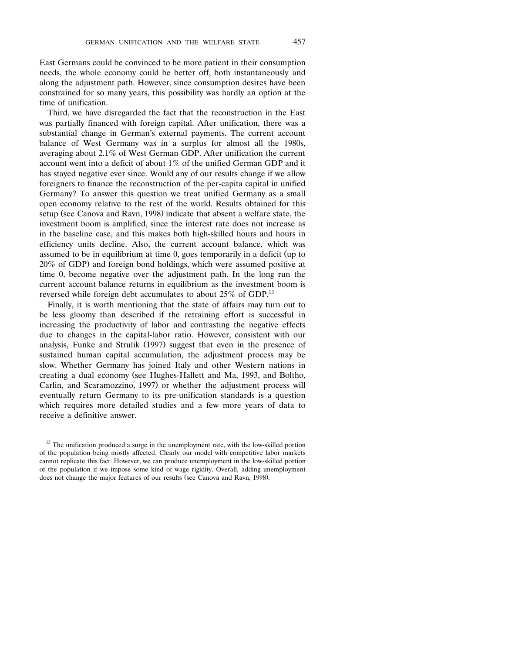East Germans could be convinced to be more patient in their consumption needs, the whole economy could be better off, both instantaneously and along the adjustment path. However, since consumption desires have been constrained for so many years, this possibility was hardly an option at the time of unification.

Third, we have disregarded the fact that the reconstruction in the East was partially financed with foreign capital. After unification, there was a substantial change in German's external payments. The current account balance of West Germany was in a surplus for almost all the 1980s, averaging about 2.1% of West German GDP. After unification the current account went into a deficit of about 1% of the unified German GDP and it has stayed negative ever since. Would any of our results change if we allow foreigners to finance the reconstruction of the per-capita capital in unified Germany? To answer this question we treat unified Germany as a small open economy relative to the rest of the world. Results obtained for this setup (see Canova and Ravn, 1998) indicate that absent a welfare state, the investment boom is amplified, since the interest rate does not increase as in the baseline case, and this makes both high-skilled hours and hours in efficiency units decline. Also, the current account balance, which was assumed to be in equilibrium at time  $0$ , goes temporarily in a deficit (up to 20% of GDP) and foreign bond holdings, which were assumed positive at time 0, become negative over the adjustment path. In the long run the current account balance returns in equilibrium as the investment boom is reversed while foreign debt accumulates to about 25% of GDP.13

Finally, it is worth mentioning that the state of affairs may turn out to be less gloomy than described if the retraining effort is successful in increasing the productivity of labor and contrasting the negative effects due to changes in the capital-labor ratio. However, consistent with our analysis, Funke and Strulik (1997) suggest that even in the presence of sustained human capital accumulation, the adjustment process may be slow. Whether Germany has joined Italy and other Western nations in creating a dual economy (see Hughes-Hallett and Ma, 1993, and Boltho, Carlin, and Scaramozzino, 1997) or whether the adjustment process will eventually return Germany to its pre-unification standards is a question which requires more detailed studies and a few more years of data to receive a definitive answer.

 $13$  The unification produced a surge in the unemployment rate, with the low-skilled portion of the population being mostly affected. Clearly our model with competitive labor markets cannot replicate this fact. However, we can produce unemployment in the low-skilled portion of the population if we impose some kind of wage rigidity. Overall, adding unemployment does not change the major features of our results (see Canova and Ravn, 1998).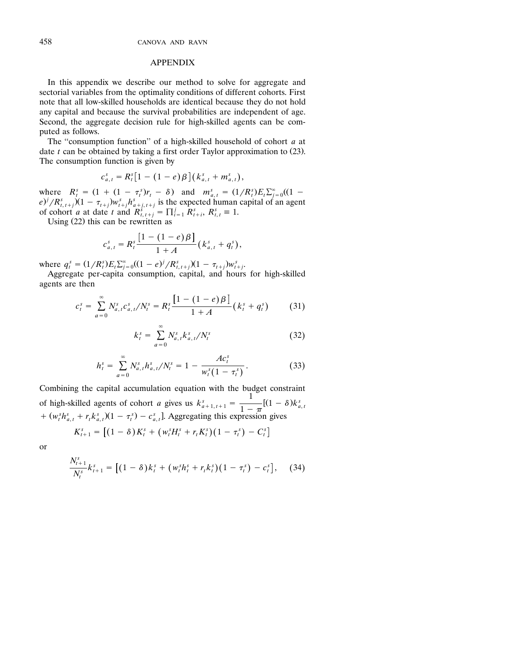#### APPENDIX

In this appendix we describe our method to solve for aggregate and sectorial variables from the optimality conditions of different cohorts. First note that all low-skilled households are identical because they do not hold any capital and because the survival probabilities are independent of age. Second, the aggregate decision rule for high-skilled agents can be computed as follows.

The ''consumption function'' of a high-skilled household of cohort *a* at date  $t$  can be obtained by taking a first order Taylor approximation to  $(23)$ . The consumption function is given by

$$
c_{a,t}^s = R_t^s [1-(1-e)\beta](k_{a,t}^s + m_{a,t}^s),
$$

where  $R_t^s = (1 + (1 - \tau_t^s)r_t - \delta)$  and  $m_{a,t}^s = (1/R_t^s)E_t \sum_{i=0}^{\infty} ((1$  $e^{j}/R_{t,t+j}^{s}/(1 - \tau_{t+j})w_{t+j}^{s}/k_{a+t,t+j}^{s}$  is the expected human capital of an agent of cohort *a* at date *t* and  $R_{t,t+i}^{s'} = \prod_{i=1}^{j} R_{t+i}^{s}, R_{t,t}^{s} \equiv 1.$ 

Using  $(22)$  this can be rewritten as

$$
c_{a,t}^s = R_t^s \frac{\left[1 - (1 - e)\beta\right]}{1 + A} (k_{a,t}^s + q_t^s),
$$

where  $q_t^s = (1/R_t^s)E_t \sum_{i=0}^{\infty} ((1-e)^j/R_{t,t+i}^s)(1-\tau_{t+i})w_{t+i}^s$ .

Aggregate per-capita consumption, capital, and hours for high-skilled agents are then

$$
c_t^s = \sum_{a=0}^{\infty} N_{a,t}^s c_{a,t}^s / N_t^s = R_t^s \frac{\left[1 - (1 - e)\beta\right]}{1 + A} \left(k_t^s + q_t^s\right) \tag{31}
$$

$$
k_t^s = \sum_{a=0}^{\infty} N_{a,t}^s k_{a,t}^s / N_t^s
$$
 (32)

$$
h_t^s = \sum_{a=0}^{\infty} N_{a,t}^s h_{a,t}^s / N_t^s = 1 - \frac{Ac_t^s}{w_t^s (1 - \tau_t^s)}.
$$
 (33)

Combining the capital accumulation equation with the budget constraint<br>of high-skilled agents of cohort *a* gives us  $k_{a+1,t+1}^s = \frac{1}{1-\pi}[(1-\delta)k_{a,t}^s + (w_t^s h_{a,t}^s + r_t k_{a,t}^s)(1-\tau_t^s) - c_{a,t}^s]$ . Aggregating this expression

$$
K_{t+1}^s = [(1-\delta)K_t^s + (w_t^s H_t^s + r_t K_t^s)(1-\tau_t^s) - C_t^s]
$$

or

$$
\frac{N_{t+1}^s}{N_t^s} k_{t+1}^s = \left[ (1-\delta) k_t^s + (w_t^s h_t^s + r_t k_t^s) (1-\tau_t^s) - c_t^s \right], \quad (34)
$$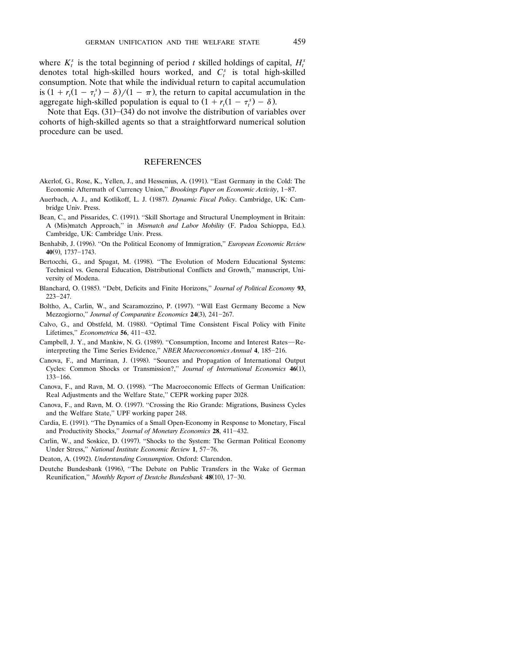where  $K_i^s$  is the total beginning of period *t* skilled holdings of capital,  $H_i^s$ denotes total high-skilled hours worked, and  $C_t^s$  is total high-skilled consumption. Note that while the individual return to capital accumulation is  $(1 + r<sub>i</sub>(1 - \tau<sub>i</sub><sup>s</sup>) - \delta)/(1 - \pi)$ , the return to capital accumulation in the aggregate high-skilled population is equal to  $(1 + r<sub>i</sub>(1 - \tau<sub>i</sub><sup>s</sup>) - \delta)$ .

Note that Eqs.  $(31)$ – $(34)$  do not involve the distribution of variables over cohorts of high-skilled agents so that a straightforward numerical solution procedure can be used.

#### **REFERENCES**

- Akerlof, G., Rose, K., Yellen, J., and Hessenius, A. (1991). "East Germany in the Cold: The Economic Aftermath of Currency Union," *Brookings Paper on Economic Activity*, 1-87.
- Auerbach, A. J., and Kotlikoff, L. J. (1987). *Dynamic Fiscal Policy*. Cambridge, UK: Cambridge Univ. Press.
- Bean, C., and Pissarides, C. (1991). "Skill Shortage and Structural Unemployment in Britain: A (Mis)match Approach," in *Mismatch and Labor Mobility* (F. Padoa Schioppa, Ed.). Cambridge, UK: Cambridge Univ. Press.
- Benhabib, J. (1996). "On the Political Economy of Immigration," *European Economic Review* **40** $(9)$ , 1737-1743.
- Bertocchi, G., and Spagat, M. (1998). "The Evolution of Modern Educational Systems: Technical vs. General Education, Distributional Conflicts and Growth,'' manuscript, University of Modena.
- Blanchard, O. (1985). "Debt, Deficits and Finite Horizons," Journal of Political Economy 93,  $223 - 247$ .
- Boltho, A., Carlin, W., and Scaramozzino, P. (1997). "Will East Germany Become a New Mezzogiorno," Journal of Comparative Economics 24(3), 241-267.
- Calvo, G., and Obstfeld, M. (1988). "Optimal Time Consistent Fiscal Policy with Finite Lifetimes," *Econometrica* **56**, 411-432.
- Campbell, J. Y., and Mankiw, N. G. (1989). "Consumption, Income and Interest Rates-Reinterpreting the Time Series Evidence," *NBER Macroeconomics Annual* 4, 185-216.
- Canova, F., and Marrinan, J. (1998). "Sources and Propagation of International Output Cycles: Common Shocks or Transmission?," *Journal of International Economics* 46(1),  $133 - 166$ .
- Canova, F., and Ravn, M. O. (1998). "The Macroeconomic Effects of German Unification: Real Adjustments and the Welfare State,'' CEPR working paper 2028.
- Canova, F., and Ravn, M. O. (1997). "Crossing the Rio Grande: Migrations, Business Cycles and the Welfare State,'' UPF working paper 248.
- Cardia, E. (1991). "The Dynamics of a Small Open-Economy in Response to Monetary, Fiscal and Productivity Shocks," *Journal of Monetary Economics* 28, 411-432.
- Carlin, W., and Soskice, D. (1997). "Shocks to the System: The German Political Economy Under Stress," National Institute Economic Review 1, 57-76.
- Deaton, A. (1992). *Understanding Consumption*. Oxford: Clarendon.
- Deutche Bundesbank (1996), "The Debate on Public Transfers in the Wake of German Reunification," *Monthly Report of Deutche Bundesbank* 48(10), 17-30.